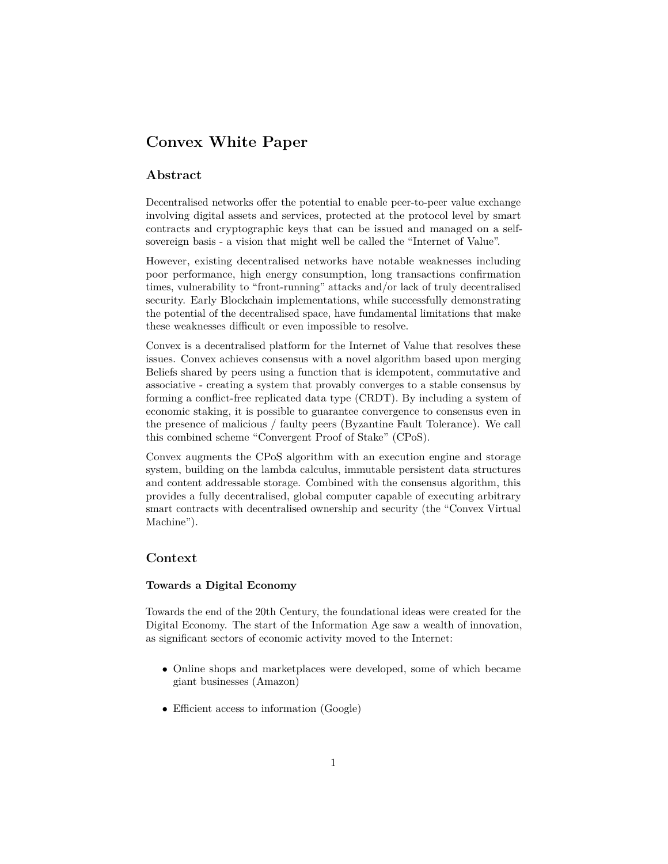# **Convex White Paper**

# **Abstract**

Decentralised networks offer the potential to enable peer-to-peer value exchange involving digital assets and services, protected at the protocol level by smart contracts and cryptographic keys that can be issued and managed on a selfsovereign basis - a vision that might well be called the "Internet of Value".

However, existing decentralised networks have notable weaknesses including poor performance, high energy consumption, long transactions confirmation times, vulnerability to "front-running" attacks and/or lack of truly decentralised security. Early Blockchain implementations, while successfully demonstrating the potential of the decentralised space, have fundamental limitations that make these weaknesses difficult or even impossible to resolve.

Convex is a decentralised platform for the Internet of Value that resolves these issues. Convex achieves consensus with a novel algorithm based upon merging Beliefs shared by peers using a function that is idempotent, commutative and associative - creating a system that provably converges to a stable consensus by forming a conflict-free replicated data type (CRDT). By including a system of economic staking, it is possible to guarantee convergence to consensus even in the presence of malicious / faulty peers (Byzantine Fault Tolerance). We call this combined scheme "Convergent Proof of Stake" (CPoS).

Convex augments the CPoS algorithm with an execution engine and storage system, building on the lambda calculus, immutable persistent data structures and content addressable storage. Combined with the consensus algorithm, this provides a fully decentralised, global computer capable of executing arbitrary smart contracts with decentralised ownership and security (the "Convex Virtual Machine").

# **Context**

# **Towards a Digital Economy**

Towards the end of the 20th Century, the foundational ideas were created for the Digital Economy. The start of the Information Age saw a wealth of innovation, as significant sectors of economic activity moved to the Internet:

- Online shops and marketplaces were developed, some of which became giant businesses (Amazon)
- Efficient access to information (Google)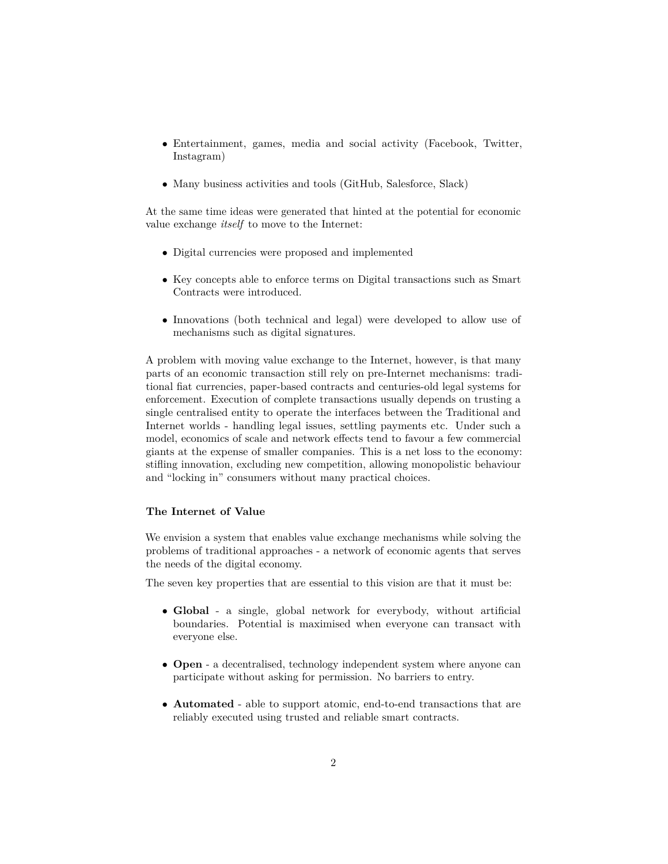- Entertainment, games, media and social activity (Facebook, Twitter, Instagram)
- Many business activities and tools (GitHub, Salesforce, Slack)

At the same time ideas were generated that hinted at the potential for economic value exchange *itself* to move to the Internet:

- Digital currencies were proposed and implemented
- Key concepts able to enforce terms on Digital transactions such as Smart Contracts were introduced.
- Innovations (both technical and legal) were developed to allow use of mechanisms such as digital signatures.

A problem with moving value exchange to the Internet, however, is that many parts of an economic transaction still rely on pre-Internet mechanisms: traditional fiat currencies, paper-based contracts and centuries-old legal systems for enforcement. Execution of complete transactions usually depends on trusting a single centralised entity to operate the interfaces between the Traditional and Internet worlds - handling legal issues, settling payments etc. Under such a model, economics of scale and network effects tend to favour a few commercial giants at the expense of smaller companies. This is a net loss to the economy: stifling innovation, excluding new competition, allowing monopolistic behaviour and "locking in" consumers without many practical choices.

#### **The Internet of Value**

We envision a system that enables value exchange mechanisms while solving the problems of traditional approaches - a network of economic agents that serves the needs of the digital economy.

The seven key properties that are essential to this vision are that it must be:

- **Global** a single, global network for everybody, without artificial boundaries. Potential is maximised when everyone can transact with everyone else.
- **Open** a decentralised, technology independent system where anyone can participate without asking for permission. No barriers to entry.
- **Automated** able to support atomic, end-to-end transactions that are reliably executed using trusted and reliable smart contracts.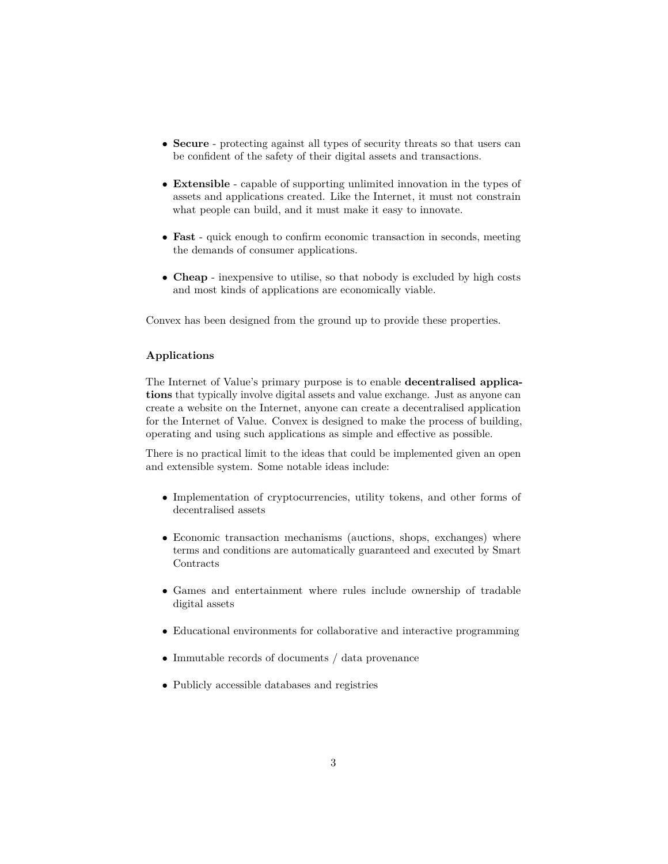- **Secure** protecting against all types of security threats so that users can be confident of the safety of their digital assets and transactions.
- **Extensible** capable of supporting unlimited innovation in the types of assets and applications created. Like the Internet, it must not constrain what people can build, and it must make it easy to innovate.
- **Fast** quick enough to confirm economic transaction in seconds, meeting the demands of consumer applications.
- **Cheap** inexpensive to utilise, so that nobody is excluded by high costs and most kinds of applications are economically viable.

Convex has been designed from the ground up to provide these properties.

# **Applications**

The Internet of Value's primary purpose is to enable **decentralised applications** that typically involve digital assets and value exchange. Just as anyone can create a website on the Internet, anyone can create a decentralised application for the Internet of Value. Convex is designed to make the process of building, operating and using such applications as simple and effective as possible.

There is no practical limit to the ideas that could be implemented given an open and extensible system. Some notable ideas include:

- Implementation of cryptocurrencies, utility tokens, and other forms of decentralised assets
- Economic transaction mechanisms (auctions, shops, exchanges) where terms and conditions are automatically guaranteed and executed by Smart Contracts
- Games and entertainment where rules include ownership of tradable digital assets
- Educational environments for collaborative and interactive programming
- Immutable records of documents / data provenance
- Publicly accessible databases and registries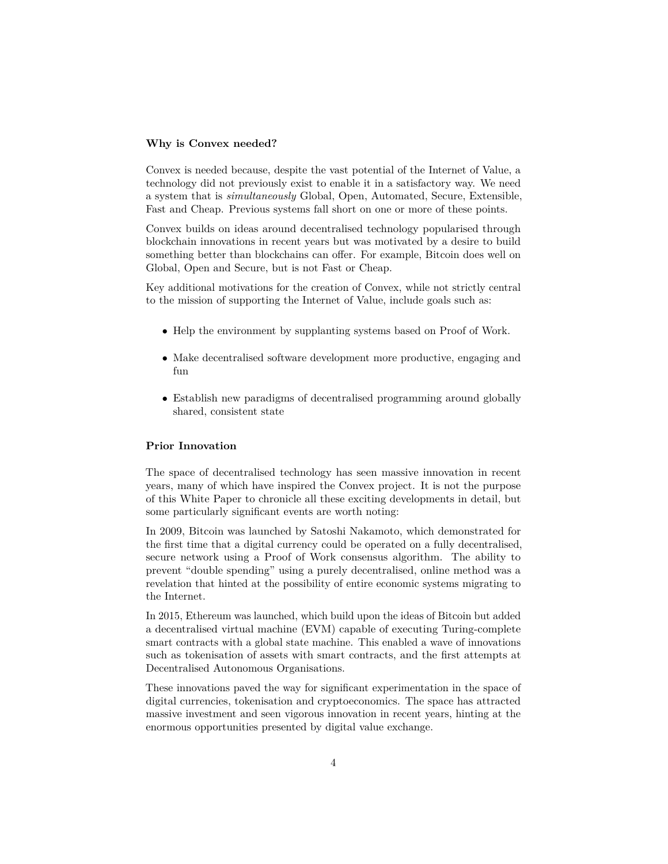#### **Why is Convex needed?**

Convex is needed because, despite the vast potential of the Internet of Value, a technology did not previously exist to enable it in a satisfactory way. We need a system that is *simultaneously* Global, Open, Automated, Secure, Extensible, Fast and Cheap. Previous systems fall short on one or more of these points.

Convex builds on ideas around decentralised technology popularised through blockchain innovations in recent years but was motivated by a desire to build something better than blockchains can offer. For example, Bitcoin does well on Global, Open and Secure, but is not Fast or Cheap.

Key additional motivations for the creation of Convex, while not strictly central to the mission of supporting the Internet of Value, include goals such as:

- Help the environment by supplanting systems based on Proof of Work.
- Make decentralised software development more productive, engaging and fun
- Establish new paradigms of decentralised programming around globally shared, consistent state

### **Prior Innovation**

The space of decentralised technology has seen massive innovation in recent years, many of which have inspired the Convex project. It is not the purpose of this White Paper to chronicle all these exciting developments in detail, but some particularly significant events are worth noting:

In 2009, Bitcoin was launched by Satoshi Nakamoto, which demonstrated for the first time that a digital currency could be operated on a fully decentralised, secure network using a Proof of Work consensus algorithm. The ability to prevent "double spending" using a purely decentralised, online method was a revelation that hinted at the possibility of entire economic systems migrating to the Internet.

In 2015, Ethereum was launched, which build upon the ideas of Bitcoin but added a decentralised virtual machine (EVM) capable of executing Turing-complete smart contracts with a global state machine. This enabled a wave of innovations such as tokenisation of assets with smart contracts, and the first attempts at Decentralised Autonomous Organisations.

These innovations paved the way for significant experimentation in the space of digital currencies, tokenisation and cryptoeconomics. The space has attracted massive investment and seen vigorous innovation in recent years, hinting at the enormous opportunities presented by digital value exchange.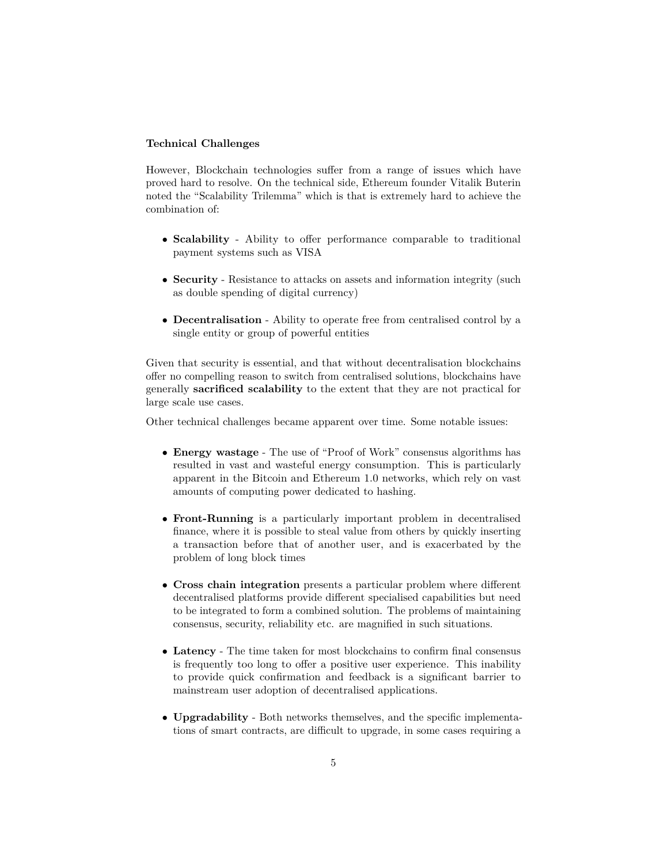### **Technical Challenges**

However, Blockchain technologies suffer from a range of issues which have proved hard to resolve. On the technical side, Ethereum founder Vitalik Buterin noted the "Scalability Trilemma" which is that is extremely hard to achieve the combination of:

- **Scalability** Ability to offer performance comparable to traditional payment systems such as VISA
- **Security** Resistance to attacks on assets and information integrity (such as double spending of digital currency)
- **Decentralisation** Ability to operate free from centralised control by a single entity or group of powerful entities

Given that security is essential, and that without decentralisation blockchains offer no compelling reason to switch from centralised solutions, blockchains have generally **sacrificed scalability** to the extent that they are not practical for large scale use cases.

Other technical challenges became apparent over time. Some notable issues:

- **Energy wastage** The use of "Proof of Work" consensus algorithms has resulted in vast and wasteful energy consumption. This is particularly apparent in the Bitcoin and Ethereum 1.0 networks, which rely on vast amounts of computing power dedicated to hashing.
- **Front-Running** is a particularly important problem in decentralised finance, where it is possible to steal value from others by quickly inserting a transaction before that of another user, and is exacerbated by the problem of long block times
- **Cross chain integration** presents a particular problem where different decentralised platforms provide different specialised capabilities but need to be integrated to form a combined solution. The problems of maintaining consensus, security, reliability etc. are magnified in such situations.
- **Latency** The time taken for most blockchains to confirm final consensus is frequently too long to offer a positive user experience. This inability to provide quick confirmation and feedback is a significant barrier to mainstream user adoption of decentralised applications.
- **Upgradability** Both networks themselves, and the specific implementations of smart contracts, are difficult to upgrade, in some cases requiring a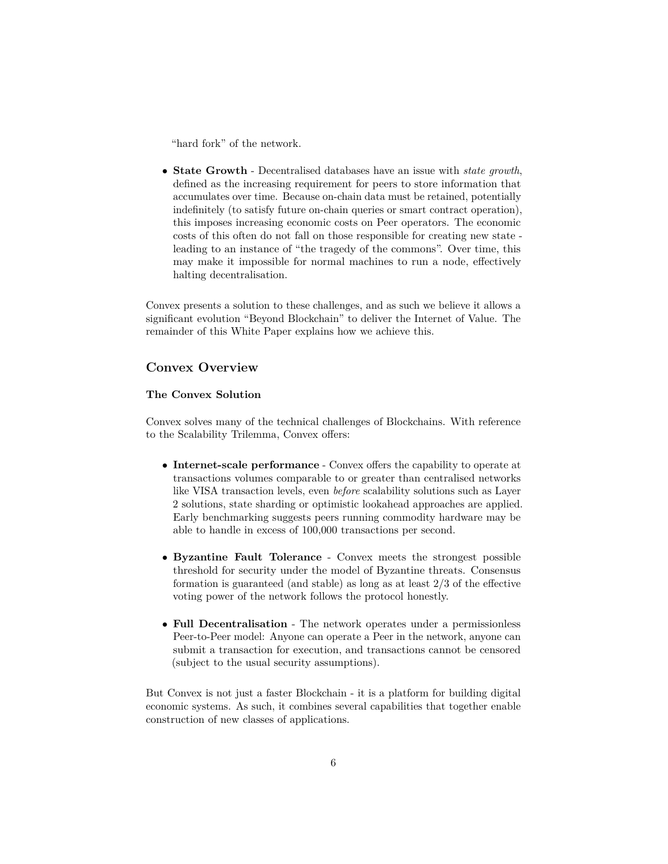"hard fork" of the network.

• **State Growth** - Decentralised databases have an issue with *state growth*, defined as the increasing requirement for peers to store information that accumulates over time. Because on-chain data must be retained, potentially indefinitely (to satisfy future on-chain queries or smart contract operation), this imposes increasing economic costs on Peer operators. The economic costs of this often do not fall on those responsible for creating new state leading to an instance of "the tragedy of the commons". Over time, this may make it impossible for normal machines to run a node, effectively halting decentralisation.

Convex presents a solution to these challenges, and as such we believe it allows a significant evolution "Beyond Blockchain" to deliver the Internet of Value. The remainder of this White Paper explains how we achieve this.

# **Convex Overview**

# **The Convex Solution**

Convex solves many of the technical challenges of Blockchains. With reference to the Scalability Trilemma, Convex offers:

- **Internet-scale performance** Convex offers the capability to operate at transactions volumes comparable to or greater than centralised networks like VISA transaction levels, even *before* scalability solutions such as Layer 2 solutions, state sharding or optimistic lookahead approaches are applied. Early benchmarking suggests peers running commodity hardware may be able to handle in excess of 100,000 transactions per second.
- **Byzantine Fault Tolerance** Convex meets the strongest possible threshold for security under the model of Byzantine threats. Consensus formation is guaranteed (and stable) as long as at least 2/3 of the effective voting power of the network follows the protocol honestly.
- **Full Decentralisation** The network operates under a permissionless Peer-to-Peer model: Anyone can operate a Peer in the network, anyone can submit a transaction for execution, and transactions cannot be censored (subject to the usual security assumptions).

But Convex is not just a faster Blockchain - it is a platform for building digital economic systems. As such, it combines several capabilities that together enable construction of new classes of applications.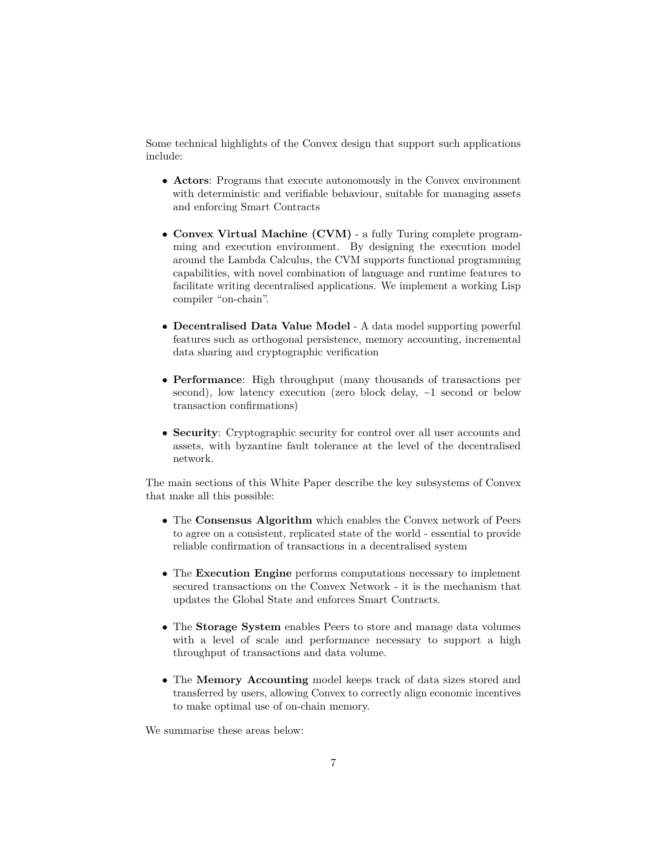Some technical highlights of the Convex design that support such applications include:

- **Actors**: Programs that execute autonomously in the Convex environment with deterministic and verifiable behaviour, suitable for managing assets and enforcing Smart Contracts
- **Convex Virtual Machine (CVM)** a fully Turing complete programming and execution environment. By designing the execution model around the Lambda Calculus, the CVM supports functional programming capabilities, with novel combination of language and runtime features to facilitate writing decentralised applications. We implement a working Lisp compiler "on-chain".
- **Decentralised Data Value Model** A data model supporting powerful features such as orthogonal persistence, memory accounting, incremental data sharing and cryptographic verification
- **Performance**: High throughput (many thousands of transactions per second), low latency execution (zero block delay,  $\sim$ 1 second or below transaction confirmations)
- **Security**: Cryptographic security for control over all user accounts and assets, with byzantine fault tolerance at the level of the decentralised network.

The main sections of this White Paper describe the key subsystems of Convex that make all this possible:

- The **Consensus Algorithm** which enables the Convex network of Peers to agree on a consistent, replicated state of the world - essential to provide reliable confirmation of transactions in a decentralised system
- The **Execution Engine** performs computations necessary to implement secured transactions on the Convex Network - it is the mechanism that updates the Global State and enforces Smart Contracts.
- The **Storage System** enables Peers to store and manage data volumes with a level of scale and performance necessary to support a high throughput of transactions and data volume.
- The **Memory Accounting** model keeps track of data sizes stored and transferred by users, allowing Convex to correctly align economic incentives to make optimal use of on-chain memory.

We summarise these areas below: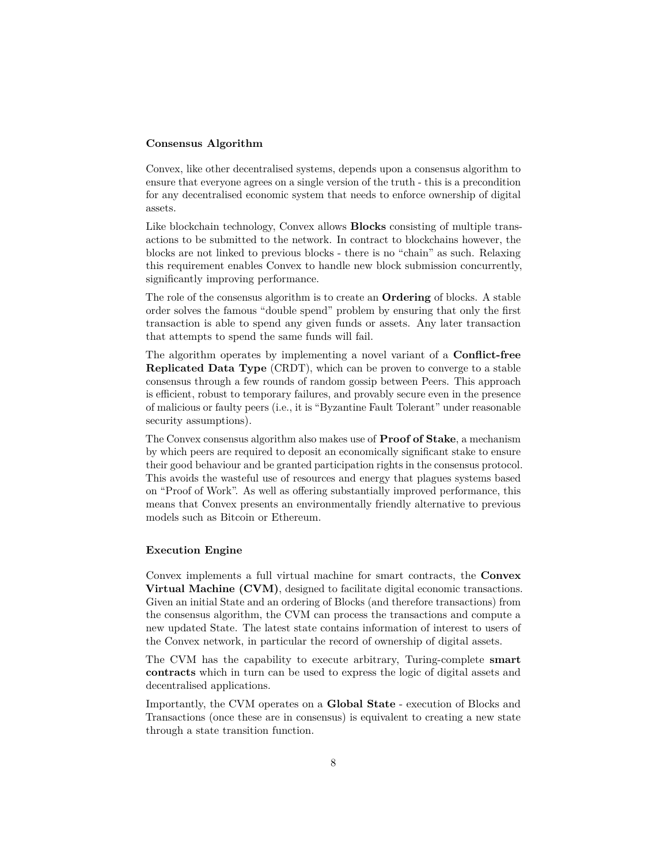### **Consensus Algorithm**

Convex, like other decentralised systems, depends upon a consensus algorithm to ensure that everyone agrees on a single version of the truth - this is a precondition for any decentralised economic system that needs to enforce ownership of digital assets.

Like blockchain technology, Convex allows **Blocks** consisting of multiple transactions to be submitted to the network. In contract to blockchains however, the blocks are not linked to previous blocks - there is no "chain" as such. Relaxing this requirement enables Convex to handle new block submission concurrently, significantly improving performance.

The role of the consensus algorithm is to create an **Ordering** of blocks. A stable order solves the famous "double spend" problem by ensuring that only the first transaction is able to spend any given funds or assets. Any later transaction that attempts to spend the same funds will fail.

The algorithm operates by implementing a novel variant of a **Conflict-free Replicated Data Type** (CRDT), which can be proven to converge to a stable consensus through a few rounds of random gossip between Peers. This approach is efficient, robust to temporary failures, and provably secure even in the presence of malicious or faulty peers (i.e., it is "Byzantine Fault Tolerant" under reasonable security assumptions).

The Convex consensus algorithm also makes use of **Proof of Stake**, a mechanism by which peers are required to deposit an economically significant stake to ensure their good behaviour and be granted participation rights in the consensus protocol. This avoids the wasteful use of resources and energy that plagues systems based on "Proof of Work". As well as offering substantially improved performance, this means that Convex presents an environmentally friendly alternative to previous models such as Bitcoin or Ethereum.

### **Execution Engine**

Convex implements a full virtual machine for smart contracts, the **Convex Virtual Machine (CVM)**, designed to facilitate digital economic transactions. Given an initial State and an ordering of Blocks (and therefore transactions) from the consensus algorithm, the CVM can process the transactions and compute a new updated State. The latest state contains information of interest to users of the Convex network, in particular the record of ownership of digital assets.

The CVM has the capability to execute arbitrary, Turing-complete **smart contracts** which in turn can be used to express the logic of digital assets and decentralised applications.

Importantly, the CVM operates on a **Global State** - execution of Blocks and Transactions (once these are in consensus) is equivalent to creating a new state through a state transition function.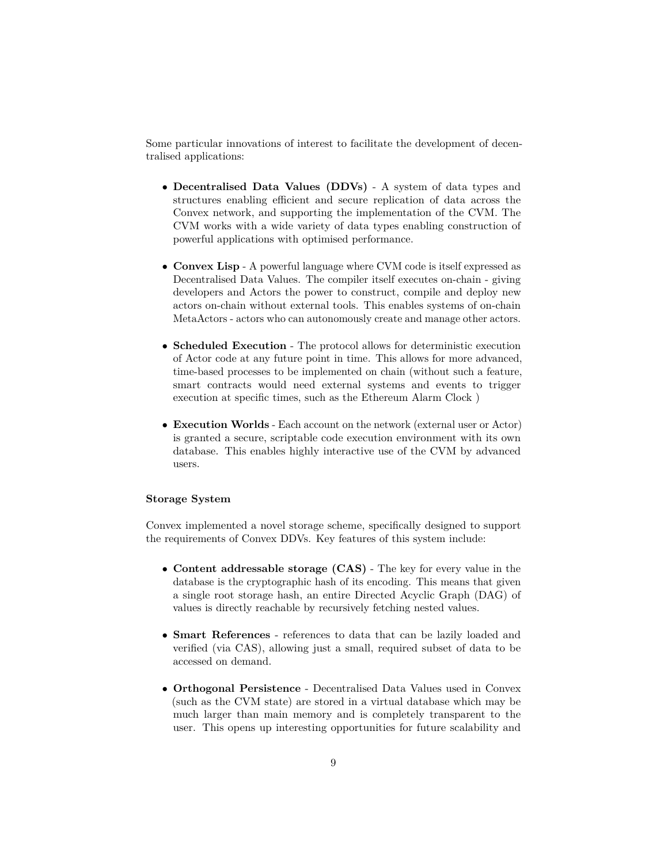Some particular innovations of interest to facilitate the development of decentralised applications:

- **Decentralised Data Values (DDVs)** A system of data types and structures enabling efficient and secure replication of data across the Convex network, and supporting the implementation of the CVM. The CVM works with a wide variety of data types enabling construction of powerful applications with optimised performance.
- **Convex Lisp** A powerful language where CVM code is itself expressed as Decentralised Data Values. The compiler itself executes on-chain - giving developers and Actors the power to construct, compile and deploy new actors on-chain without external tools. This enables systems of on-chain MetaActors - actors who can autonomously create and manage other actors.
- **Scheduled Execution** The protocol allows for deterministic execution of Actor code at any future point in time. This allows for more advanced, time-based processes to be implemented on chain (without such a feature, smart contracts would need external systems and events to trigger execution at specific times, such as the Ethereum Alarm Clock )
- **Execution Worlds** Each account on the network (external user or Actor) is granted a secure, scriptable code execution environment with its own database. This enables highly interactive use of the CVM by advanced users.

# **Storage System**

Convex implemented a novel storage scheme, specifically designed to support the requirements of Convex DDVs. Key features of this system include:

- **Content addressable storage (CAS)** The key for every value in the database is the cryptographic hash of its encoding. This means that given a single root storage hash, an entire Directed Acyclic Graph (DAG) of values is directly reachable by recursively fetching nested values.
- **Smart References** references to data that can be lazily loaded and verified (via CAS), allowing just a small, required subset of data to be accessed on demand.
- **Orthogonal Persistence** Decentralised Data Values used in Convex (such as the CVM state) are stored in a virtual database which may be much larger than main memory and is completely transparent to the user. This opens up interesting opportunities for future scalability and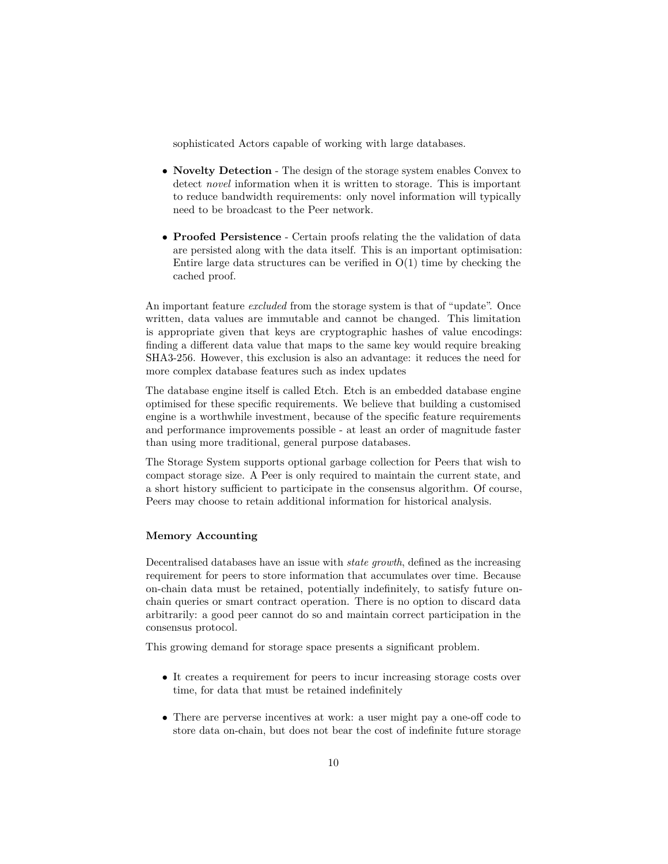sophisticated Actors capable of working with large databases.

- **Novelty Detection** The design of the storage system enables Convex to detect *novel* information when it is written to storage. This is important to reduce bandwidth requirements: only novel information will typically need to be broadcast to the Peer network.
- **Proofed Persistence** Certain proofs relating the the validation of data are persisted along with the data itself. This is an important optimisation: Entire large data structures can be verified in  $O(1)$  time by checking the cached proof.

An important feature *excluded* from the storage system is that of "update". Once written, data values are immutable and cannot be changed. This limitation is appropriate given that keys are cryptographic hashes of value encodings: finding a different data value that maps to the same key would require breaking SHA3-256. However, this exclusion is also an advantage: it reduces the need for more complex database features such as index updates

The database engine itself is called Etch. Etch is an embedded database engine optimised for these specific requirements. We believe that building a customised engine is a worthwhile investment, because of the specific feature requirements and performance improvements possible - at least an order of magnitude faster than using more traditional, general purpose databases.

The Storage System supports optional garbage collection for Peers that wish to compact storage size. A Peer is only required to maintain the current state, and a short history sufficient to participate in the consensus algorithm. Of course, Peers may choose to retain additional information for historical analysis.

# **Memory Accounting**

Decentralised databases have an issue with *state growth*, defined as the increasing requirement for peers to store information that accumulates over time. Because on-chain data must be retained, potentially indefinitely, to satisfy future onchain queries or smart contract operation. There is no option to discard data arbitrarily: a good peer cannot do so and maintain correct participation in the consensus protocol.

This growing demand for storage space presents a significant problem.

- It creates a requirement for peers to incur increasing storage costs over time, for data that must be retained indefinitely
- There are perverse incentives at work: a user might pay a one-off code to store data on-chain, but does not bear the cost of indefinite future storage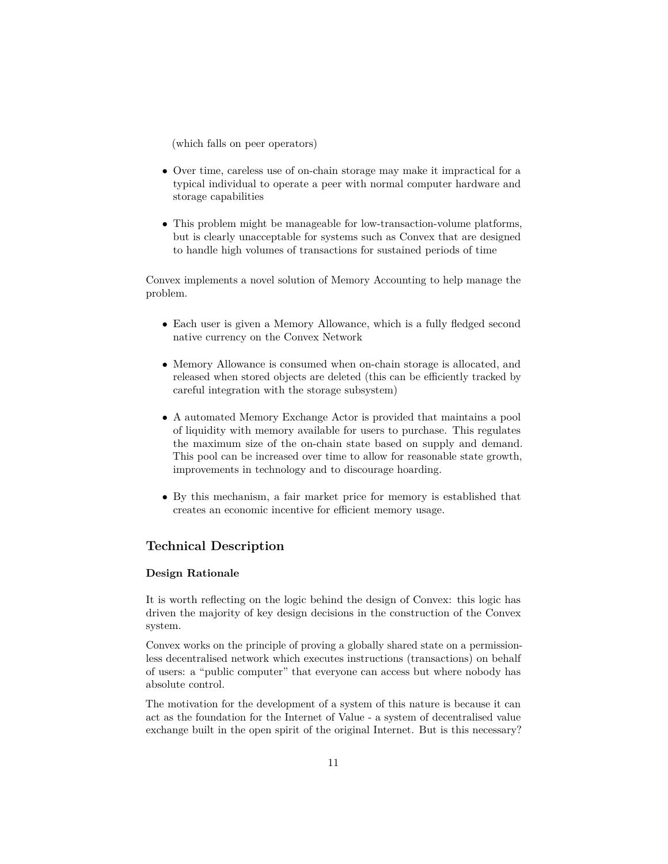(which falls on peer operators)

- Over time, careless use of on-chain storage may make it impractical for a typical individual to operate a peer with normal computer hardware and storage capabilities
- This problem might be manageable for low-transaction-volume platforms, but is clearly unacceptable for systems such as Convex that are designed to handle high volumes of transactions for sustained periods of time

Convex implements a novel solution of Memory Accounting to help manage the problem.

- Each user is given a Memory Allowance, which is a fully fledged second native currency on the Convex Network
- Memory Allowance is consumed when on-chain storage is allocated, and released when stored objects are deleted (this can be efficiently tracked by careful integration with the storage subsystem)
- A automated Memory Exchange Actor is provided that maintains a pool of liquidity with memory available for users to purchase. This regulates the maximum size of the on-chain state based on supply and demand. This pool can be increased over time to allow for reasonable state growth, improvements in technology and to discourage hoarding.
- By this mechanism, a fair market price for memory is established that creates an economic incentive for efficient memory usage.

# **Technical Description**

# **Design Rationale**

It is worth reflecting on the logic behind the design of Convex: this logic has driven the majority of key design decisions in the construction of the Convex system.

Convex works on the principle of proving a globally shared state on a permissionless decentralised network which executes instructions (transactions) on behalf of users: a "public computer" that everyone can access but where nobody has absolute control.

The motivation for the development of a system of this nature is because it can act as the foundation for the Internet of Value - a system of decentralised value exchange built in the open spirit of the original Internet. But is this necessary?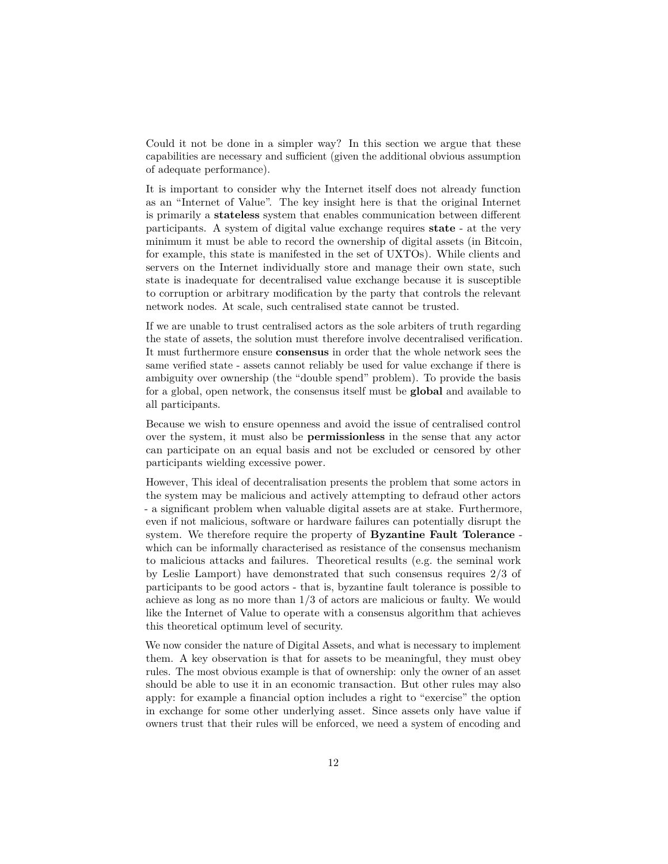Could it not be done in a simpler way? In this section we argue that these capabilities are necessary and sufficient (given the additional obvious assumption of adequate performance).

It is important to consider why the Internet itself does not already function as an "Internet of Value". The key insight here is that the original Internet is primarily a **stateless** system that enables communication between different participants. A system of digital value exchange requires **state** - at the very minimum it must be able to record the ownership of digital assets (in Bitcoin, for example, this state is manifested in the set of UXTOs). While clients and servers on the Internet individually store and manage their own state, such state is inadequate for decentralised value exchange because it is susceptible to corruption or arbitrary modification by the party that controls the relevant network nodes. At scale, such centralised state cannot be trusted.

If we are unable to trust centralised actors as the sole arbiters of truth regarding the state of assets, the solution must therefore involve decentralised verification. It must furthermore ensure **consensus** in order that the whole network sees the same verified state - assets cannot reliably be used for value exchange if there is ambiguity over ownership (the "double spend" problem). To provide the basis for a global, open network, the consensus itself must be **global** and available to all participants.

Because we wish to ensure openness and avoid the issue of centralised control over the system, it must also be **permissionless** in the sense that any actor can participate on an equal basis and not be excluded or censored by other participants wielding excessive power.

However, This ideal of decentralisation presents the problem that some actors in the system may be malicious and actively attempting to defraud other actors - a significant problem when valuable digital assets are at stake. Furthermore, even if not malicious, software or hardware failures can potentially disrupt the system. We therefore require the property of **Byzantine Fault Tolerance** which can be informally characterised as resistance of the consensus mechanism to malicious attacks and failures. Theoretical results (e.g. the seminal work by Leslie Lamport) have demonstrated that such consensus requires 2/3 of participants to be good actors - that is, byzantine fault tolerance is possible to achieve as long as no more than 1/3 of actors are malicious or faulty. We would like the Internet of Value to operate with a consensus algorithm that achieves this theoretical optimum level of security.

We now consider the nature of Digital Assets, and what is necessary to implement them. A key observation is that for assets to be meaningful, they must obey rules. The most obvious example is that of ownership: only the owner of an asset should be able to use it in an economic transaction. But other rules may also apply: for example a financial option includes a right to "exercise" the option in exchange for some other underlying asset. Since assets only have value if owners trust that their rules will be enforced, we need a system of encoding and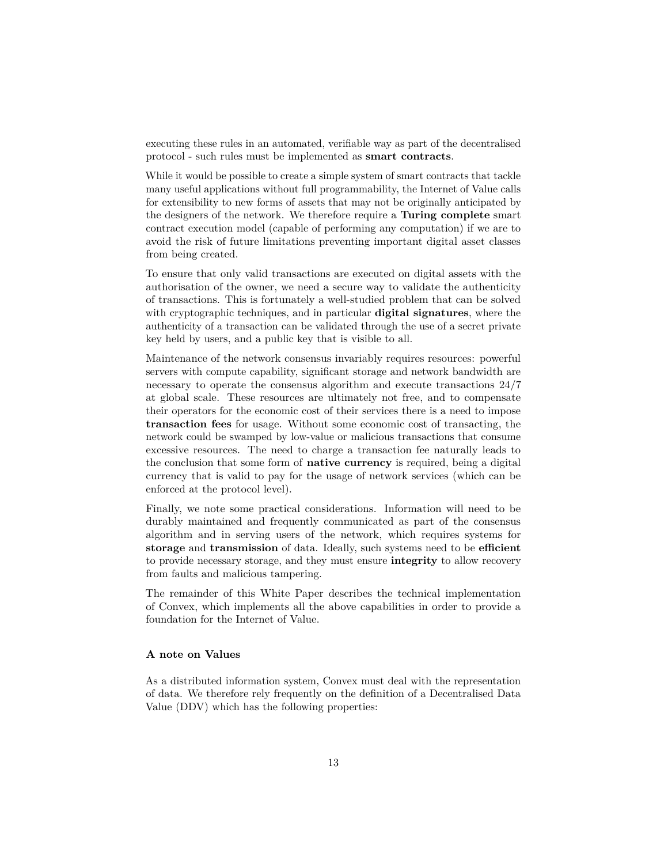executing these rules in an automated, verifiable way as part of the decentralised protocol - such rules must be implemented as **smart contracts**.

While it would be possible to create a simple system of smart contracts that tackle many useful applications without full programmability, the Internet of Value calls for extensibility to new forms of assets that may not be originally anticipated by the designers of the network. We therefore require a **Turing complete** smart contract execution model (capable of performing any computation) if we are to avoid the risk of future limitations preventing important digital asset classes from being created.

To ensure that only valid transactions are executed on digital assets with the authorisation of the owner, we need a secure way to validate the authenticity of transactions. This is fortunately a well-studied problem that can be solved with cryptographic techniques, and in particular **digital signatures**, where the authenticity of a transaction can be validated through the use of a secret private key held by users, and a public key that is visible to all.

Maintenance of the network consensus invariably requires resources: powerful servers with compute capability, significant storage and network bandwidth are necessary to operate the consensus algorithm and execute transactions 24/7 at global scale. These resources are ultimately not free, and to compensate their operators for the economic cost of their services there is a need to impose **transaction fees** for usage. Without some economic cost of transacting, the network could be swamped by low-value or malicious transactions that consume excessive resources. The need to charge a transaction fee naturally leads to the conclusion that some form of **native currency** is required, being a digital currency that is valid to pay for the usage of network services (which can be enforced at the protocol level).

Finally, we note some practical considerations. Information will need to be durably maintained and frequently communicated as part of the consensus algorithm and in serving users of the network, which requires systems for **storage** and **transmission** of data. Ideally, such systems need to be **efficient** to provide necessary storage, and they must ensure **integrity** to allow recovery from faults and malicious tampering.

The remainder of this White Paper describes the technical implementation of Convex, which implements all the above capabilities in order to provide a foundation for the Internet of Value.

### **A note on Values**

As a distributed information system, Convex must deal with the representation of data. We therefore rely frequently on the definition of a Decentralised Data Value (DDV) which has the following properties: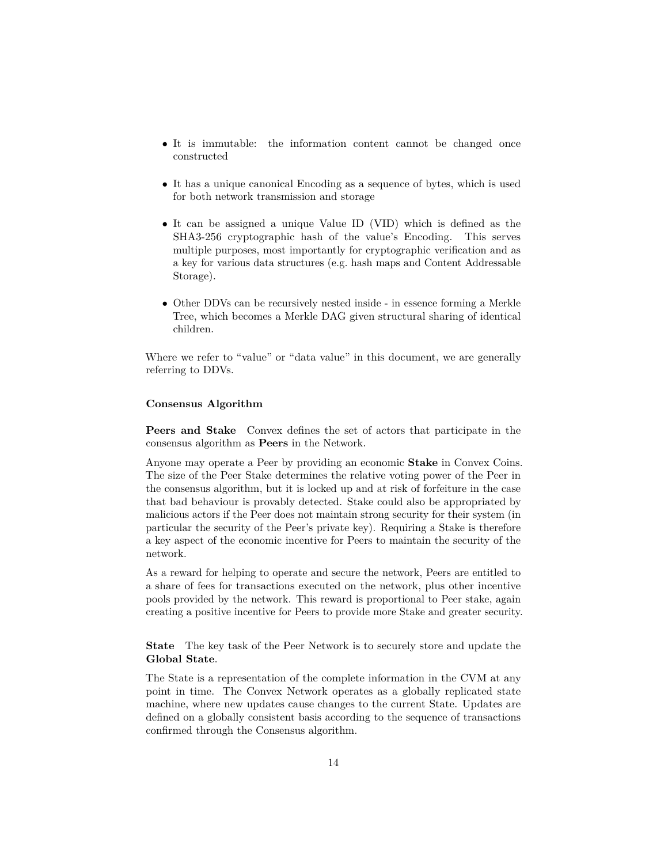- It is immutable: the information content cannot be changed once constructed
- It has a unique canonical Encoding as a sequence of bytes, which is used for both network transmission and storage
- It can be assigned a unique Value ID (VID) which is defined as the SHA3-256 cryptographic hash of the value's Encoding. This serves multiple purposes, most importantly for cryptographic verification and as a key for various data structures (e.g. hash maps and Content Addressable Storage).
- Other DDVs can be recursively nested inside in essence forming a Merkle Tree, which becomes a Merkle DAG given structural sharing of identical children.

Where we refer to "value" or "data value" in this document, we are generally referring to DDVs.

### **Consensus Algorithm**

**Peers and Stake** Convex defines the set of actors that participate in the consensus algorithm as **Peers** in the Network.

Anyone may operate a Peer by providing an economic **Stake** in Convex Coins. The size of the Peer Stake determines the relative voting power of the Peer in the consensus algorithm, but it is locked up and at risk of forfeiture in the case that bad behaviour is provably detected. Stake could also be appropriated by malicious actors if the Peer does not maintain strong security for their system (in particular the security of the Peer's private key). Requiring a Stake is therefore a key aspect of the economic incentive for Peers to maintain the security of the network.

As a reward for helping to operate and secure the network, Peers are entitled to a share of fees for transactions executed on the network, plus other incentive pools provided by the network. This reward is proportional to Peer stake, again creating a positive incentive for Peers to provide more Stake and greater security.

**State** The key task of the Peer Network is to securely store and update the **Global State**.

The State is a representation of the complete information in the CVM at any point in time. The Convex Network operates as a globally replicated state machine, where new updates cause changes to the current State. Updates are defined on a globally consistent basis according to the sequence of transactions confirmed through the Consensus algorithm.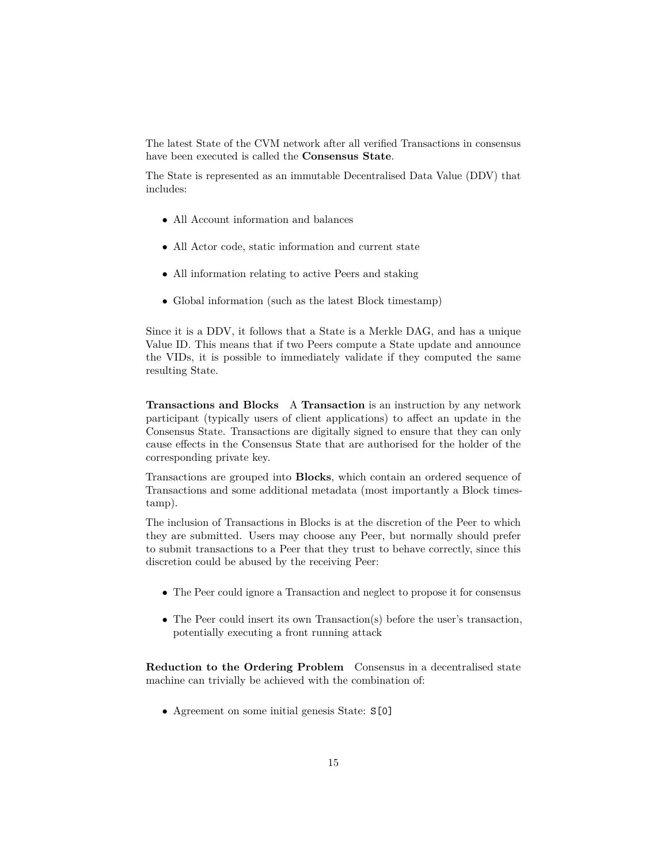The latest State of the CVM network after all verified Transactions in consensus have been executed is called the **Consensus State**.

The State is represented as an immutable Decentralised Data Value (DDV) that includes:

- All Account information and balances
- All Actor code, static information and current state
- All information relating to active Peers and staking
- Global information (such as the latest Block timestamp)

Since it is a DDV, it follows that a State is a Merkle DAG, and has a unique Value ID. This means that if two Peers compute a State update and announce the VIDs, it is possible to immediately validate if they computed the same resulting State.

**Transactions and Blocks** A **Transaction** is an instruction by any network participant (typically users of client applications) to affect an update in the Consensus State. Transactions are digitally signed to ensure that they can only cause effects in the Consensus State that are authorised for the holder of the corresponding private key.

Transactions are grouped into **Blocks**, which contain an ordered sequence of Transactions and some additional metadata (most importantly a Block timestamp).

The inclusion of Transactions in Blocks is at the discretion of the Peer to which they are submitted. Users may choose any Peer, but normally should prefer to submit transactions to a Peer that they trust to behave correctly, since this discretion could be abused by the receiving Peer:

- The Peer could ignore a Transaction and neglect to propose it for consensus
- The Peer could insert its own Transaction(s) before the user's transaction, potentially executing a front running attack

**Reduction to the Ordering Problem** Consensus in a decentralised state machine can trivially be achieved with the combination of:

• Agreement on some initial genesis State:  $S[0]$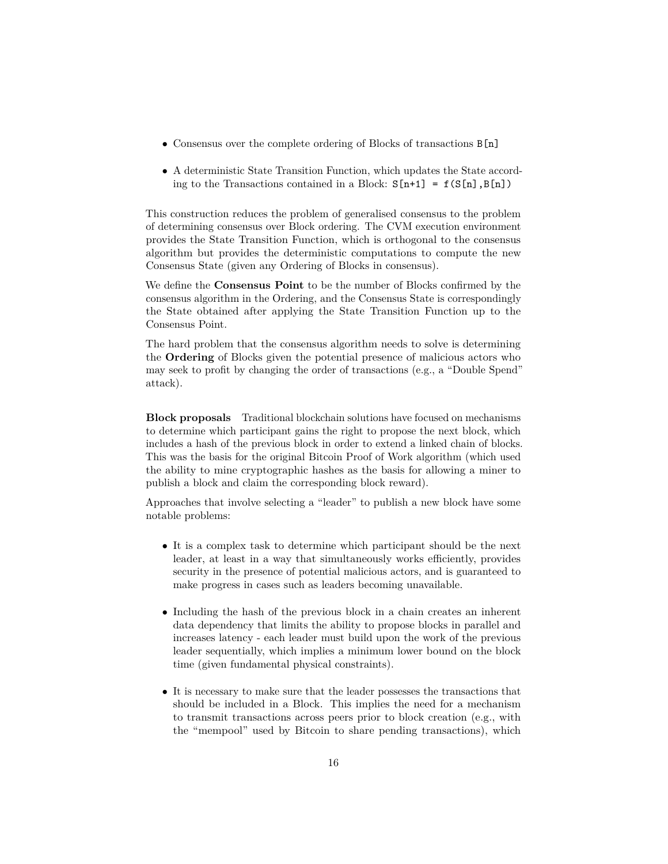- Consensus over the complete ordering of Blocks of transactions B[n]
- A deterministic State Transition Function, which updates the State according to the Transactions contained in a Block:  $S[n+1] = f(S[n], B[n])$

This construction reduces the problem of generalised consensus to the problem of determining consensus over Block ordering. The CVM execution environment provides the State Transition Function, which is orthogonal to the consensus algorithm but provides the deterministic computations to compute the new Consensus State (given any Ordering of Blocks in consensus).

We define the **Consensus Point** to be the number of Blocks confirmed by the consensus algorithm in the Ordering, and the Consensus State is correspondingly the State obtained after applying the State Transition Function up to the Consensus Point.

The hard problem that the consensus algorithm needs to solve is determining the **Ordering** of Blocks given the potential presence of malicious actors who may seek to profit by changing the order of transactions (e.g., a "Double Spend" attack).

**Block proposals** Traditional blockchain solutions have focused on mechanisms to determine which participant gains the right to propose the next block, which includes a hash of the previous block in order to extend a linked chain of blocks. This was the basis for the original Bitcoin Proof of Work algorithm (which used the ability to mine cryptographic hashes as the basis for allowing a miner to publish a block and claim the corresponding block reward).

Approaches that involve selecting a "leader" to publish a new block have some notable problems:

- It is a complex task to determine which participant should be the next leader, at least in a way that simultaneously works efficiently, provides security in the presence of potential malicious actors, and is guaranteed to make progress in cases such as leaders becoming unavailable.
- Including the hash of the previous block in a chain creates an inherent data dependency that limits the ability to propose blocks in parallel and increases latency - each leader must build upon the work of the previous leader sequentially, which implies a minimum lower bound on the block time (given fundamental physical constraints).
- It is necessary to make sure that the leader possesses the transactions that should be included in a Block. This implies the need for a mechanism to transmit transactions across peers prior to block creation (e.g., with the "mempool" used by Bitcoin to share pending transactions), which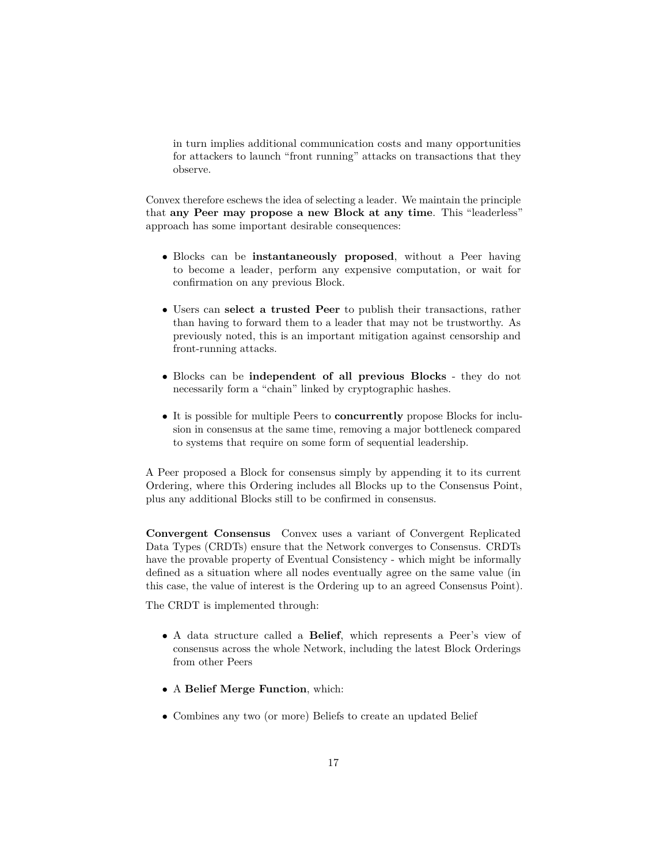in turn implies additional communication costs and many opportunities for attackers to launch "front running" attacks on transactions that they observe.

Convex therefore eschews the idea of selecting a leader. We maintain the principle that **any Peer may propose a new Block at any time**. This "leaderless" approach has some important desirable consequences:

- Blocks can be **instantaneously proposed**, without a Peer having to become a leader, perform any expensive computation, or wait for confirmation on any previous Block.
- Users can **select a trusted Peer** to publish their transactions, rather than having to forward them to a leader that may not be trustworthy. As previously noted, this is an important mitigation against censorship and front-running attacks.
- Blocks can be **independent of all previous Blocks** they do not necessarily form a "chain" linked by cryptographic hashes.
- It is possible for multiple Peers to **concurrently** propose Blocks for inclusion in consensus at the same time, removing a major bottleneck compared to systems that require on some form of sequential leadership.

A Peer proposed a Block for consensus simply by appending it to its current Ordering, where this Ordering includes all Blocks up to the Consensus Point, plus any additional Blocks still to be confirmed in consensus.

**Convergent Consensus** Convex uses a variant of Convergent Replicated Data Types (CRDTs) ensure that the Network converges to Consensus. CRDTs have the provable property of Eventual Consistency - which might be informally defined as a situation where all nodes eventually agree on the same value (in this case, the value of interest is the Ordering up to an agreed Consensus Point).

The CRDT is implemented through:

- A data structure called a **Belief**, which represents a Peer's view of consensus across the whole Network, including the latest Block Orderings from other Peers
- A **Belief Merge Function**, which:
- Combines any two (or more) Beliefs to create an updated Belief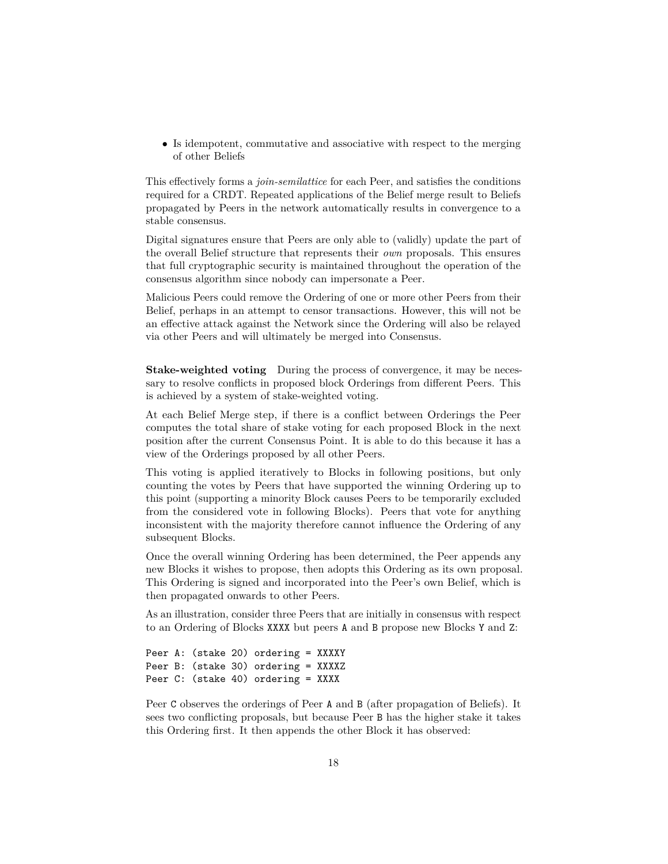• Is idempotent, commutative and associative with respect to the merging of other Beliefs

This effectively forms a *join-semilattice* for each Peer, and satisfies the conditions required for a CRDT. Repeated applications of the Belief merge result to Beliefs propagated by Peers in the network automatically results in convergence to a stable consensus.

Digital signatures ensure that Peers are only able to (validly) update the part of the overall Belief structure that represents their *own* proposals. This ensures that full cryptographic security is maintained throughout the operation of the consensus algorithm since nobody can impersonate a Peer.

Malicious Peers could remove the Ordering of one or more other Peers from their Belief, perhaps in an attempt to censor transactions. However, this will not be an effective attack against the Network since the Ordering will also be relayed via other Peers and will ultimately be merged into Consensus.

**Stake-weighted voting** During the process of convergence, it may be necessary to resolve conflicts in proposed block Orderings from different Peers. This is achieved by a system of stake-weighted voting.

At each Belief Merge step, if there is a conflict between Orderings the Peer computes the total share of stake voting for each proposed Block in the next position after the current Consensus Point. It is able to do this because it has a view of the Orderings proposed by all other Peers.

This voting is applied iteratively to Blocks in following positions, but only counting the votes by Peers that have supported the winning Ordering up to this point (supporting a minority Block causes Peers to be temporarily excluded from the considered vote in following Blocks). Peers that vote for anything inconsistent with the majority therefore cannot influence the Ordering of any subsequent Blocks.

Once the overall winning Ordering has been determined, the Peer appends any new Blocks it wishes to propose, then adopts this Ordering as its own proposal. This Ordering is signed and incorporated into the Peer's own Belief, which is then propagated onwards to other Peers.

As an illustration, consider three Peers that are initially in consensus with respect to an Ordering of Blocks XXXX but peers A and B propose new Blocks Y and Z:

Peer A: (stake 20) ordering = XXXXY Peer B: (stake 30) ordering = XXXXZ Peer C: (stake 40) ordering = XXXX

Peer C observes the orderings of Peer A and B (after propagation of Beliefs). It sees two conflicting proposals, but because Peer B has the higher stake it takes this Ordering first. It then appends the other Block it has observed: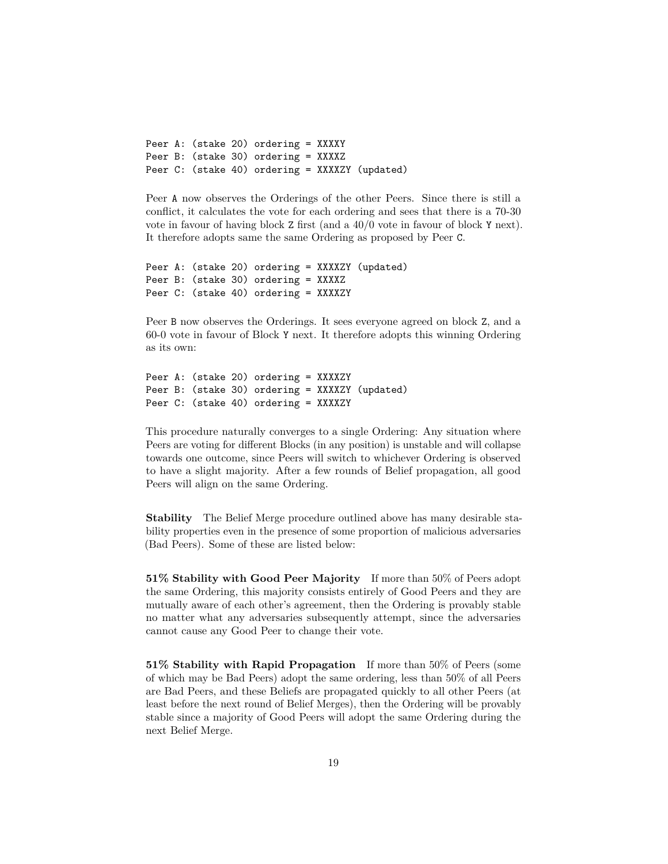Peer A: (stake 20) ordering = XXXXY Peer B: (stake 30) ordering = XXXXZ Peer C: (stake 40) ordering = XXXXZY (updated)

Peer A now observes the Orderings of the other Peers. Since there is still a conflict, it calculates the vote for each ordering and sees that there is a 70-30 vote in favour of having block Z first (and a 40/0 vote in favour of block Y next). It therefore adopts same the same Ordering as proposed by Peer C.

```
Peer A: (stake 20) ordering = XXXXZY (updated)
Peer B: (stake 30) ordering = XXXXZ
Peer C: (stake 40) ordering = XXXXZY
```
Peer B now observes the Orderings. It sees everyone agreed on block Z, and a 60-0 vote in favour of Block Y next. It therefore adopts this winning Ordering as its own:

```
Peer A: (stake 20) ordering = XXXXZY
Peer B: (stake 30) ordering = XXXXZY (updated)
Peer C: (stake 40) ordering = XXXXZY
```
This procedure naturally converges to a single Ordering: Any situation where Peers are voting for different Blocks (in any position) is unstable and will collapse towards one outcome, since Peers will switch to whichever Ordering is observed to have a slight majority. After a few rounds of Belief propagation, all good Peers will align on the same Ordering.

**Stability** The Belief Merge procedure outlined above has many desirable stability properties even in the presence of some proportion of malicious adversaries (Bad Peers). Some of these are listed below:

**51% Stability with Good Peer Majority** If more than 50% of Peers adopt the same Ordering, this majority consists entirely of Good Peers and they are mutually aware of each other's agreement, then the Ordering is provably stable no matter what any adversaries subsequently attempt, since the adversaries cannot cause any Good Peer to change their vote.

**51% Stability with Rapid Propagation** If more than 50% of Peers (some of which may be Bad Peers) adopt the same ordering, less than 50% of all Peers are Bad Peers, and these Beliefs are propagated quickly to all other Peers (at least before the next round of Belief Merges), then the Ordering will be provably stable since a majority of Good Peers will adopt the same Ordering during the next Belief Merge.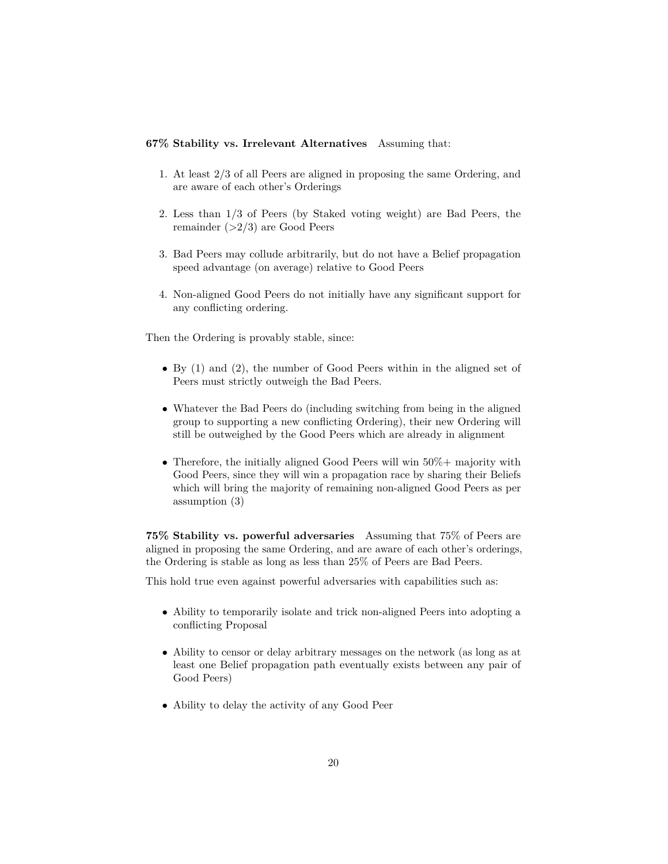# **67% Stability vs. Irrelevant Alternatives** Assuming that:

- 1. At least 2/3 of all Peers are aligned in proposing the same Ordering, and are aware of each other's Orderings
- 2. Less than 1/3 of Peers (by Staked voting weight) are Bad Peers, the remainder  $(>2/3)$  are Good Peers
- 3. Bad Peers may collude arbitrarily, but do not have a Belief propagation speed advantage (on average) relative to Good Peers
- 4. Non-aligned Good Peers do not initially have any significant support for any conflicting ordering.

Then the Ordering is provably stable, since:

- By (1) and (2), the number of Good Peers within in the aligned set of Peers must strictly outweigh the Bad Peers.
- Whatever the Bad Peers do (including switching from being in the aligned group to supporting a new conflicting Ordering), their new Ordering will still be outweighed by the Good Peers which are already in alignment
- Therefore, the initially aligned Good Peers will win 50%+ majority with Good Peers, since they will win a propagation race by sharing their Beliefs which will bring the majority of remaining non-aligned Good Peers as per assumption (3)

**75% Stability vs. powerful adversaries** Assuming that 75% of Peers are aligned in proposing the same Ordering, and are aware of each other's orderings, the Ordering is stable as long as less than 25% of Peers are Bad Peers.

This hold true even against powerful adversaries with capabilities such as:

- Ability to temporarily isolate and trick non-aligned Peers into adopting a conflicting Proposal
- Ability to censor or delay arbitrary messages on the network (as long as at least one Belief propagation path eventually exists between any pair of Good Peers)
- Ability to delay the activity of any Good Peer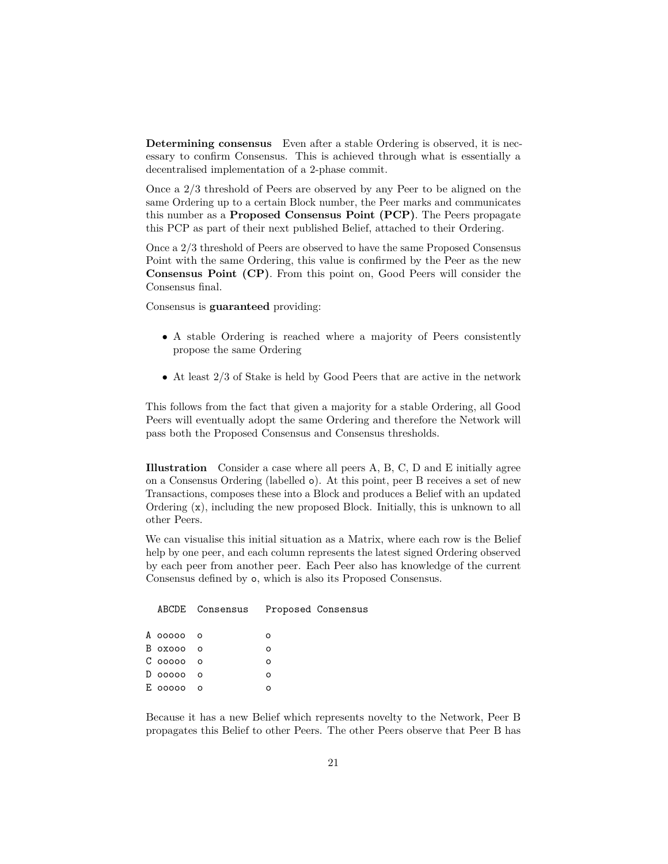**Determining consensus** Even after a stable Ordering is observed, it is necessary to confirm Consensus. This is achieved through what is essentially a decentralised implementation of a 2-phase commit.

Once a 2/3 threshold of Peers are observed by any Peer to be aligned on the same Ordering up to a certain Block number, the Peer marks and communicates this number as a **Proposed Consensus Point (PCP)**. The Peers propagate this PCP as part of their next published Belief, attached to their Ordering.

Once a 2/3 threshold of Peers are observed to have the same Proposed Consensus Point with the same Ordering, this value is confirmed by the Peer as the new **Consensus Point (CP)**. From this point on, Good Peers will consider the Consensus final.

Consensus is **guaranteed** providing:

- A stable Ordering is reached where a majority of Peers consistently propose the same Ordering
- At least 2/3 of Stake is held by Good Peers that are active in the network

This follows from the fact that given a majority for a stable Ordering, all Good Peers will eventually adopt the same Ordering and therefore the Network will pass both the Proposed Consensus and Consensus thresholds.

**Illustration** Consider a case where all peers A, B, C, D and E initially agree on a Consensus Ordering (labelled o). At this point, peer B receives a set of new Transactions, composes these into a Block and produces a Belief with an updated Ordering (x), including the new proposed Block. Initially, this is unknown to all other Peers.

We can visualise this initial situation as a Matrix, where each row is the Belief help by one peer, and each column represents the latest signed Ordering observed by each peer from another peer. Each Peer also has knowledge of the current Consensus defined by o, which is also its Proposed Consensus.

|           | ABCDE Consensus Proposed Consensus |   |  |
|-----------|------------------------------------|---|--|
| А ооооо о |                                    | Ω |  |
| Boxooo o  |                                    |   |  |
| Cooooooo  |                                    | Ω |  |
| D ooooo o |                                    | Ω |  |
| E ooooo o |                                    |   |  |

Because it has a new Belief which represents novelty to the Network, Peer B propagates this Belief to other Peers. The other Peers observe that Peer B has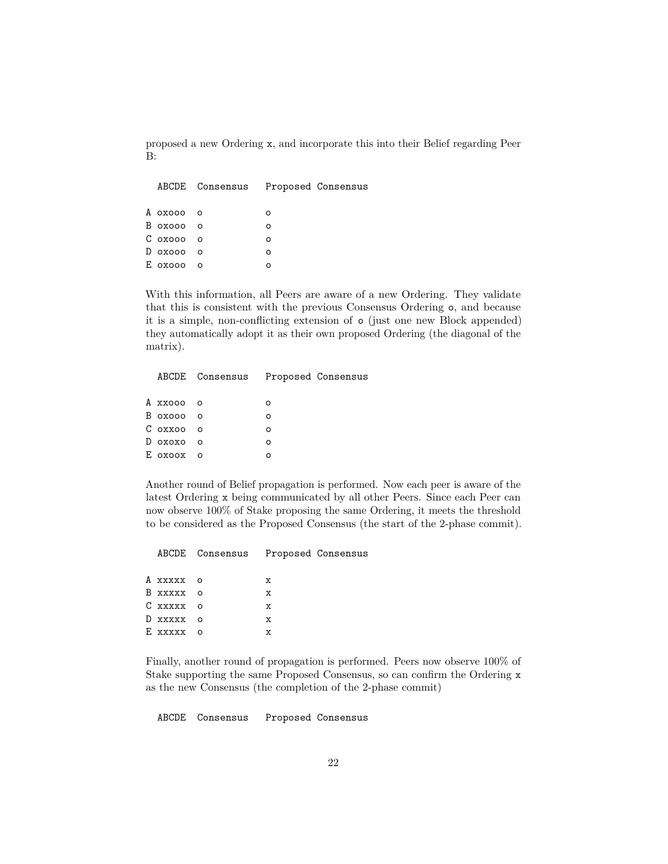proposed a new Ordering x, and incorporate this into their Belief regarding Peer B:

|           | ABCDE Consensus Proposed Consensus |   |  |
|-----------|------------------------------------|---|--|
| Α οχοοο ο |                                    | Ω |  |
| В охооо о |                                    | Ω |  |
| С охооо о |                                    | Ω |  |
| D охооо о |                                    | Ω |  |
| E oxooo o |                                    |   |  |
|           |                                    |   |  |

With this information, all Peers are aware of a new Ordering. They validate that this is consistent with the previous Consensus Ordering o, and because it is a simple, non-conflicting extension of o (just one new Block appended) they automatically adopt it as their own proposed Ordering (the diagonal of the matrix).

|           | ABCDE Consensus |   | Proposed Consensus |
|-----------|-----------------|---|--------------------|
| Α χχοοο ο |                 |   |                    |
| В охооо о |                 | Ω |                    |
| С оххоо о |                 | Ω |                    |
| D охохо о |                 | Ω |                    |
| Ε οχοοχ ο |                 |   |                    |
|           |                 |   |                    |

Another round of Belief propagation is performed. Now each peer is aware of the latest Ordering x being communicated by all other Peers. Since each Peer can now observe 100% of Stake proposing the same Ordering, it meets the threshold to be considered as the Proposed Consensus (the start of the 2-phase commit).

|           | ABCDE Consensus Proposed Consensus |  |
|-----------|------------------------------------|--|
| А ххххх о | x                                  |  |
| В ххххх о | х                                  |  |
| Cxxxxx o  | х                                  |  |
| D xxxxx о | x                                  |  |
| Exxxxx o  | x                                  |  |

Finally, another round of propagation is performed. Peers now observe 100% of Stake supporting the same Proposed Consensus, so can confirm the Ordering x as the new Consensus (the completion of the 2-phase commit)

ABCDE Consensus Proposed Consensus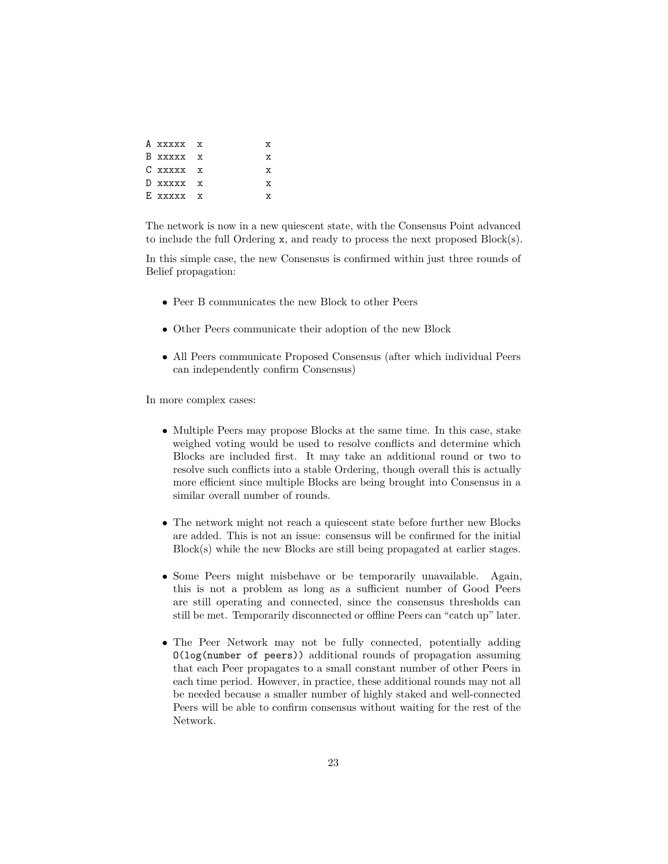| A xxxxx x |  | x  |
|-----------|--|----|
| B xxxxx x |  | x. |
| C xxxxx x |  | x  |
| D xxxxx x |  | x  |
| E xxxxx x |  |    |

The network is now in a new quiescent state, with the Consensus Point advanced to include the full Ordering x, and ready to process the next proposed Block(s).

In this simple case, the new Consensus is confirmed within just three rounds of Belief propagation:

- Peer B communicates the new Block to other Peers
- Other Peers communicate their adoption of the new Block
- All Peers communicate Proposed Consensus (after which individual Peers can independently confirm Consensus)

In more complex cases:

- Multiple Peers may propose Blocks at the same time. In this case, stake weighed voting would be used to resolve conflicts and determine which Blocks are included first. It may take an additional round or two to resolve such conflicts into a stable Ordering, though overall this is actually more efficient since multiple Blocks are being brought into Consensus in a similar overall number of rounds.
- The network might not reach a quiescent state before further new Blocks are added. This is not an issue: consensus will be confirmed for the initial Block(s) while the new Blocks are still being propagated at earlier stages.
- Some Peers might misbehave or be temporarily unavailable. Again, this is not a problem as long as a sufficient number of Good Peers are still operating and connected, since the consensus thresholds can still be met. Temporarily disconnected or offline Peers can "catch up" later.
- The Peer Network may not be fully connected, potentially adding O(log(number of peers)) additional rounds of propagation assuming that each Peer propagates to a small constant number of other Peers in each time period. However, in practice, these additional rounds may not all be needed because a smaller number of highly staked and well-connected Peers will be able to confirm consensus without waiting for the rest of the Network.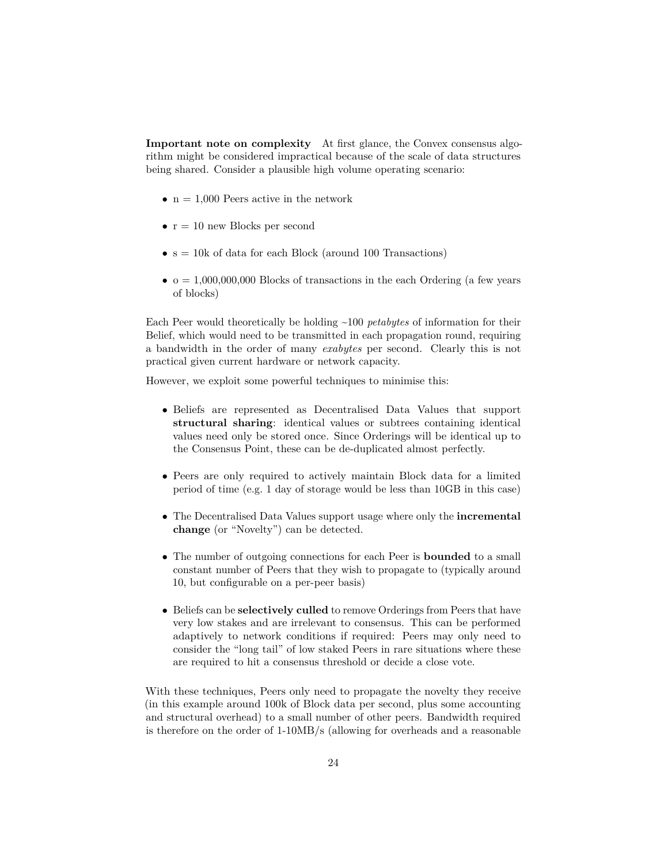**Important note on complexity** At first glance, the Convex consensus algorithm might be considered impractical because of the scale of data structures being shared. Consider a plausible high volume operating scenario:

- $n = 1,000$  Peers active in the network
- $r = 10$  new Blocks per second
- $\bullet$  s = 10k of data for each Block (around 100 Transactions)
- $\bullet$   $o = 1,000,000,000$  Blocks of transactions in the each Ordering (a few years of blocks)

Each Peer would theoretically be holding ~100 *petabytes* of information for their Belief, which would need to be transmitted in each propagation round, requiring a bandwidth in the order of many *exabytes* per second. Clearly this is not practical given current hardware or network capacity.

However, we exploit some powerful techniques to minimise this:

- Beliefs are represented as Decentralised Data Values that support **structural sharing**: identical values or subtrees containing identical values need only be stored once. Since Orderings will be identical up to the Consensus Point, these can be de-duplicated almost perfectly.
- Peers are only required to actively maintain Block data for a limited period of time (e.g. 1 day of storage would be less than 10GB in this case)
- The Decentralised Data Values support usage where only the **incremental change** (or "Novelty") can be detected.
- The number of outgoing connections for each Peer is **bounded** to a small constant number of Peers that they wish to propagate to (typically around 10, but configurable on a per-peer basis)
- Beliefs can be **selectively culled** to remove Orderings from Peers that have very low stakes and are irrelevant to consensus. This can be performed adaptively to network conditions if required: Peers may only need to consider the "long tail" of low staked Peers in rare situations where these are required to hit a consensus threshold or decide a close vote.

With these techniques, Peers only need to propagate the novelty they receive (in this example around 100k of Block data per second, plus some accounting and structural overhead) to a small number of other peers. Bandwidth required is therefore on the order of 1-10MB/s (allowing for overheads and a reasonable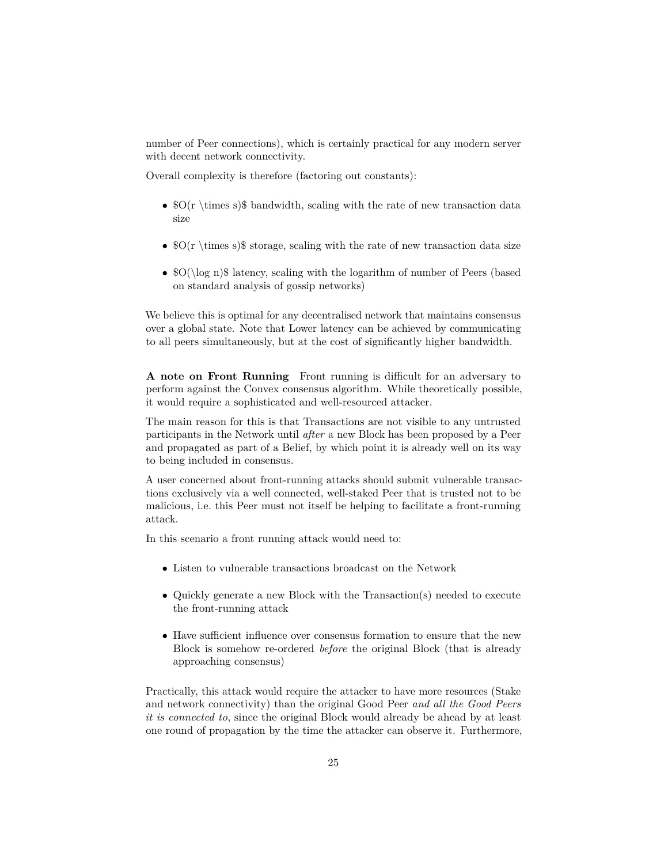number of Peer connections), which is certainly practical for any modern server with decent network connectivity.

Overall complexity is therefore (factoring out constants):

- $O(r \times s)$  bandwidth, scaling with the rate of new transaction data size
- $O(r \times s)$  storage, scaling with the rate of new transaction data size
- $\mathcal{S}O(\log n)$  latency, scaling with the logarithm of number of Peers (based on standard analysis of gossip networks)

We believe this is optimal for any decentralised network that maintains consensus over a global state. Note that Lower latency can be achieved by communicating to all peers simultaneously, but at the cost of significantly higher bandwidth.

**A note on Front Running** Front running is difficult for an adversary to perform against the Convex consensus algorithm. While theoretically possible, it would require a sophisticated and well-resourced attacker.

The main reason for this is that Transactions are not visible to any untrusted participants in the Network until *after* a new Block has been proposed by a Peer and propagated as part of a Belief, by which point it is already well on its way to being included in consensus.

A user concerned about front-running attacks should submit vulnerable transactions exclusively via a well connected, well-staked Peer that is trusted not to be malicious, i.e. this Peer must not itself be helping to facilitate a front-running attack.

In this scenario a front running attack would need to:

- Listen to vulnerable transactions broadcast on the Network
- Quickly generate a new Block with the Transaction(s) needed to execute the front-running attack
- Have sufficient influence over consensus formation to ensure that the new Block is somehow re-ordered *before* the original Block (that is already approaching consensus)

Practically, this attack would require the attacker to have more resources (Stake and network connectivity) than the original Good Peer *and all the Good Peers it is connected to*, since the original Block would already be ahead by at least one round of propagation by the time the attacker can observe it. Furthermore,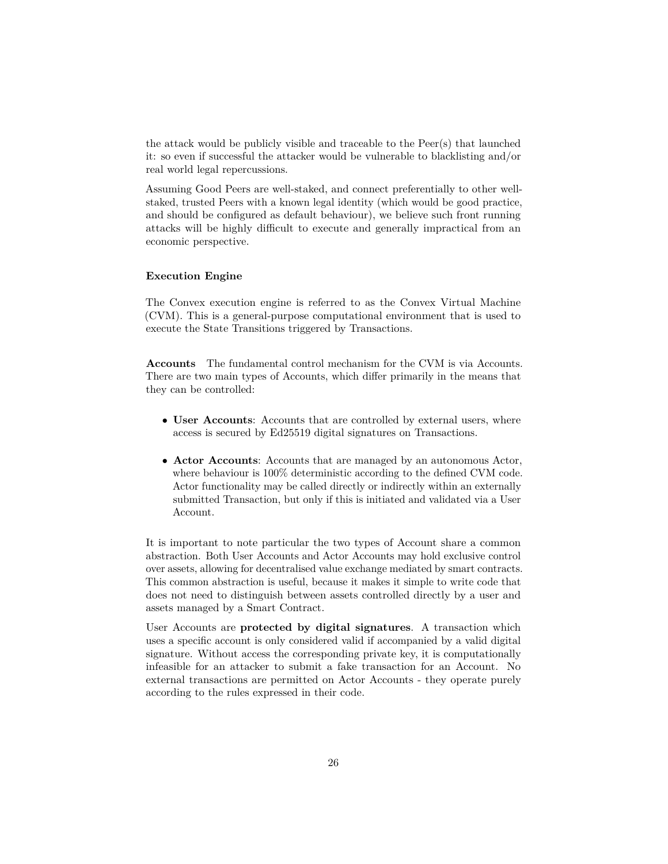the attack would be publicly visible and traceable to the Peer(s) that launched it: so even if successful the attacker would be vulnerable to blacklisting and/or real world legal repercussions.

Assuming Good Peers are well-staked, and connect preferentially to other wellstaked, trusted Peers with a known legal identity (which would be good practice, and should be configured as default behaviour), we believe such front running attacks will be highly difficult to execute and generally impractical from an economic perspective.

### **Execution Engine**

The Convex execution engine is referred to as the Convex Virtual Machine (CVM). This is a general-purpose computational environment that is used to execute the State Transitions triggered by Transactions.

**Accounts** The fundamental control mechanism for the CVM is via Accounts. There are two main types of Accounts, which differ primarily in the means that they can be controlled:

- **User Accounts**: Accounts that are controlled by external users, where access is secured by Ed25519 digital signatures on Transactions.
- **Actor Accounts**: Accounts that are managed by an autonomous Actor, where behaviour is 100% deterministic according to the defined CVM code. Actor functionality may be called directly or indirectly within an externally submitted Transaction, but only if this is initiated and validated via a User Account.

It is important to note particular the two types of Account share a common abstraction. Both User Accounts and Actor Accounts may hold exclusive control over assets, allowing for decentralised value exchange mediated by smart contracts. This common abstraction is useful, because it makes it simple to write code that does not need to distinguish between assets controlled directly by a user and assets managed by a Smart Contract.

User Accounts are **protected by digital signatures**. A transaction which uses a specific account is only considered valid if accompanied by a valid digital signature. Without access the corresponding private key, it is computationally infeasible for an attacker to submit a fake transaction for an Account. No external transactions are permitted on Actor Accounts - they operate purely according to the rules expressed in their code.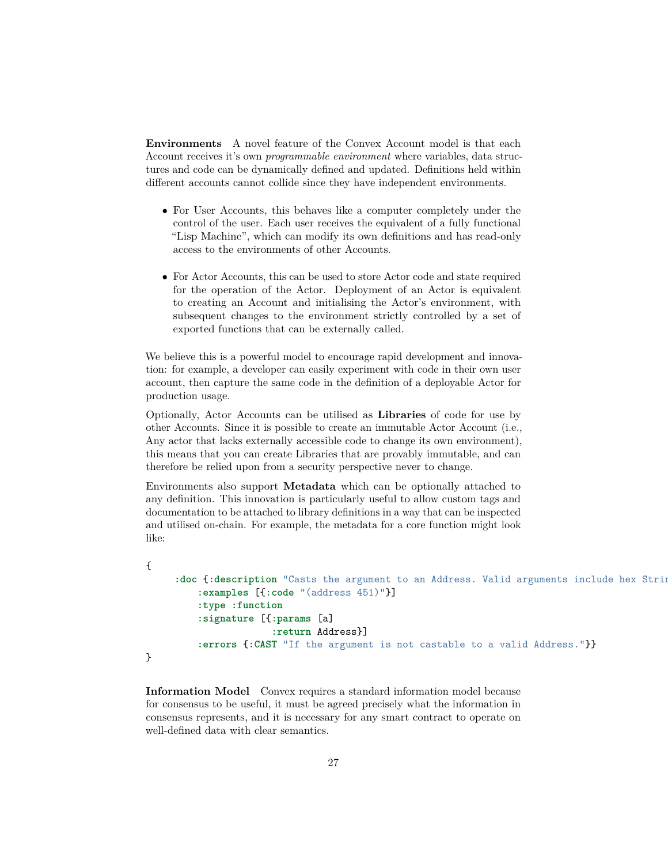**Environments** A novel feature of the Convex Account model is that each Account receives it's own *programmable environment* where variables, data structures and code can be dynamically defined and updated. Definitions held within different accounts cannot collide since they have independent environments.

- For User Accounts, this behaves like a computer completely under the control of the user. Each user receives the equivalent of a fully functional "Lisp Machine", which can modify its own definitions and has read-only access to the environments of other Accounts.
- For Actor Accounts, this can be used to store Actor code and state required for the operation of the Actor. Deployment of an Actor is equivalent to creating an Account and initialising the Actor's environment, with subsequent changes to the environment strictly controlled by a set of exported functions that can be externally called.

We believe this is a powerful model to encourage rapid development and innovation: for example, a developer can easily experiment with code in their own user account, then capture the same code in the definition of a deployable Actor for production usage.

Optionally, Actor Accounts can be utilised as **Libraries** of code for use by other Accounts. Since it is possible to create an immutable Actor Account (i.e., Any actor that lacks externally accessible code to change its own environment), this means that you can create Libraries that are provably immutable, and can therefore be relied upon from a security perspective never to change.

Environments also support **Metadata** which can be optionally attached to any definition. This innovation is particularly useful to allow custom tags and documentation to be attached to library definitions in a way that can be inspected and utilised on-chain. For example, the metadata for a core function might look like:

```
{
     :doc {:description "Casts the argument to an Address. Valid arguments include hex Strin
         :examples [{:code "(address 451)"}]
         :type :function
         :signature [{:params [a]
                      :return Address}]
         :errors {:CAST "If the argument is not castable to a valid Address."}}
}
```
**Information Model** Convex requires a standard information model because for consensus to be useful, it must be agreed precisely what the information in consensus represents, and it is necessary for any smart contract to operate on well-defined data with clear semantics.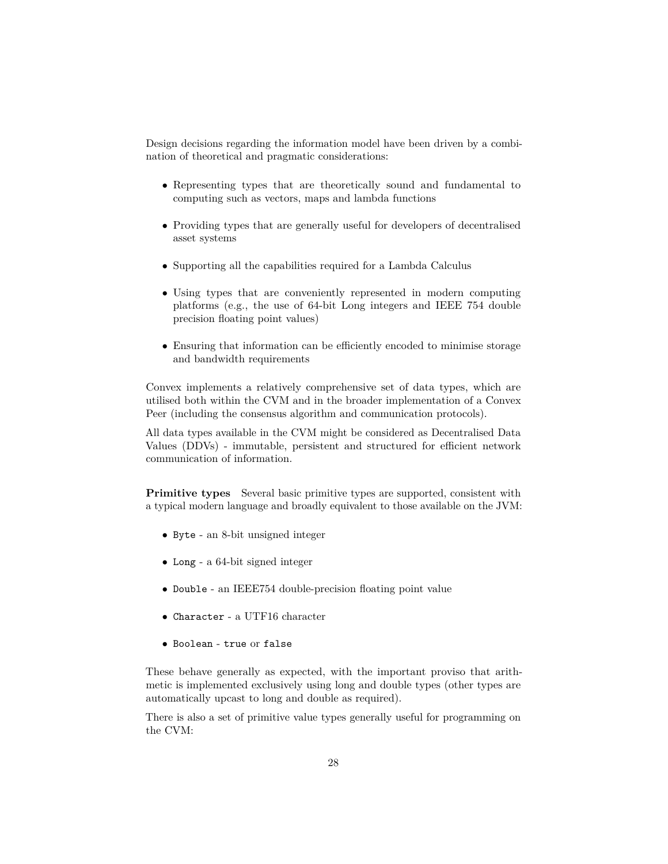Design decisions regarding the information model have been driven by a combination of theoretical and pragmatic considerations:

- Representing types that are theoretically sound and fundamental to computing such as vectors, maps and lambda functions
- Providing types that are generally useful for developers of decentralised asset systems
- Supporting all the capabilities required for a Lambda Calculus
- Using types that are conveniently represented in modern computing platforms (e.g., the use of 64-bit Long integers and IEEE 754 double precision floating point values)
- Ensuring that information can be efficiently encoded to minimise storage and bandwidth requirements

Convex implements a relatively comprehensive set of data types, which are utilised both within the CVM and in the broader implementation of a Convex Peer (including the consensus algorithm and communication protocols).

All data types available in the CVM might be considered as Decentralised Data Values (DDVs) - immutable, persistent and structured for efficient network communication of information.

**Primitive types** Several basic primitive types are supported, consistent with a typical modern language and broadly equivalent to those available on the JVM:

- Byte an 8-bit unsigned integer
- Long a 64-bit signed integer
- Double an IEEE754 double-precision floating point value
- Character a UTF16 character
- Boolean true or false

These behave generally as expected, with the important proviso that arithmetic is implemented exclusively using long and double types (other types are automatically upcast to long and double as required).

There is also a set of primitive value types generally useful for programming on the CVM: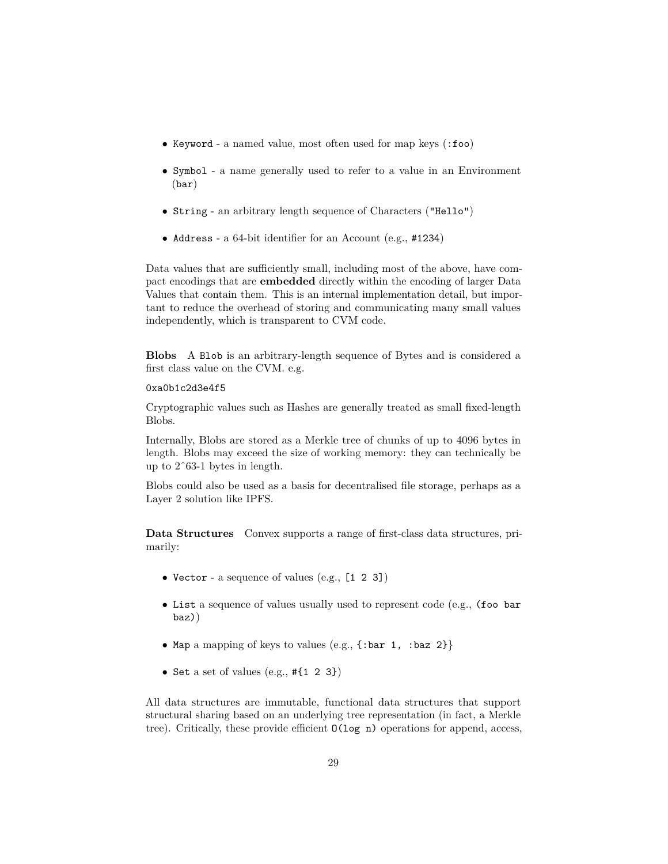- Keyword a named value, most often used for map keys (:foo)
- Symbol a name generally used to refer to a value in an Environment (bar)
- String an arbitrary length sequence of Characters ("Hello")
- Address a 64-bit identifier for an Account (e.g., #1234)

Data values that are sufficiently small, including most of the above, have compact encodings that are **embedded** directly within the encoding of larger Data Values that contain them. This is an internal implementation detail, but important to reduce the overhead of storing and communicating many small values independently, which is transparent to CVM code.

**Blobs** A Blob is an arbitrary-length sequence of Bytes and is considered a first class value on the CVM. e.g.

#### 0xa0b1c2d3e4f5

Cryptographic values such as Hashes are generally treated as small fixed-length Blobs.

Internally, Blobs are stored as a Merkle tree of chunks of up to 4096 bytes in length. Blobs may exceed the size of working memory: they can technically be up to 2ˆ63-1 bytes in length.

Blobs could also be used as a basis for decentralised file storage, perhaps as a Layer 2 solution like IPFS.

**Data Structures** Convex supports a range of first-class data structures, primarily:

- Vector a sequence of values (e.g., [1 2 3])
- List a sequence of values usually used to represent code (e.g., (foo bar baz))
- Map a mapping of keys to values (e.g.,  $\{\text{:bar 1, :baz 2}\}\$
- Set a set of values  $(e.g., #{1 2 3})$

All data structures are immutable, functional data structures that support structural sharing based on an underlying tree representation (in fact, a Merkle tree). Critically, these provide efficient O(log n) operations for append, access,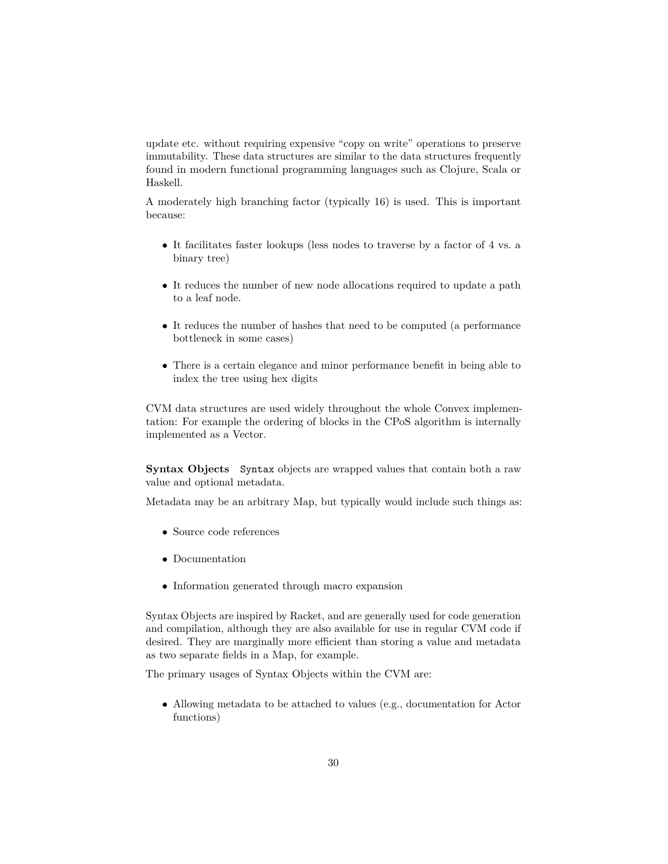update etc. without requiring expensive "copy on write" operations to preserve immutability. These data structures are similar to the data structures frequently found in modern functional programming languages such as Clojure, Scala or Haskell.

A moderately high branching factor (typically 16) is used. This is important because:

- It facilitates faster lookups (less nodes to traverse by a factor of 4 vs. a binary tree)
- It reduces the number of new node allocations required to update a path to a leaf node.
- It reduces the number of hashes that need to be computed (a performance bottleneck in some cases)
- There is a certain elegance and minor performance benefit in being able to index the tree using hex digits

CVM data structures are used widely throughout the whole Convex implementation: For example the ordering of blocks in the CPoS algorithm is internally implemented as a Vector.

**Syntax Objects** Syntax objects are wrapped values that contain both a raw value and optional metadata.

Metadata may be an arbitrary Map, but typically would include such things as:

- Source code references
- Documentation
- Information generated through macro expansion

Syntax Objects are inspired by Racket, and are generally used for code generation and compilation, although they are also available for use in regular CVM code if desired. They are marginally more efficient than storing a value and metadata as two separate fields in a Map, for example.

The primary usages of Syntax Objects within the CVM are:

• Allowing metadata to be attached to values (e.g., documentation for Actor functions)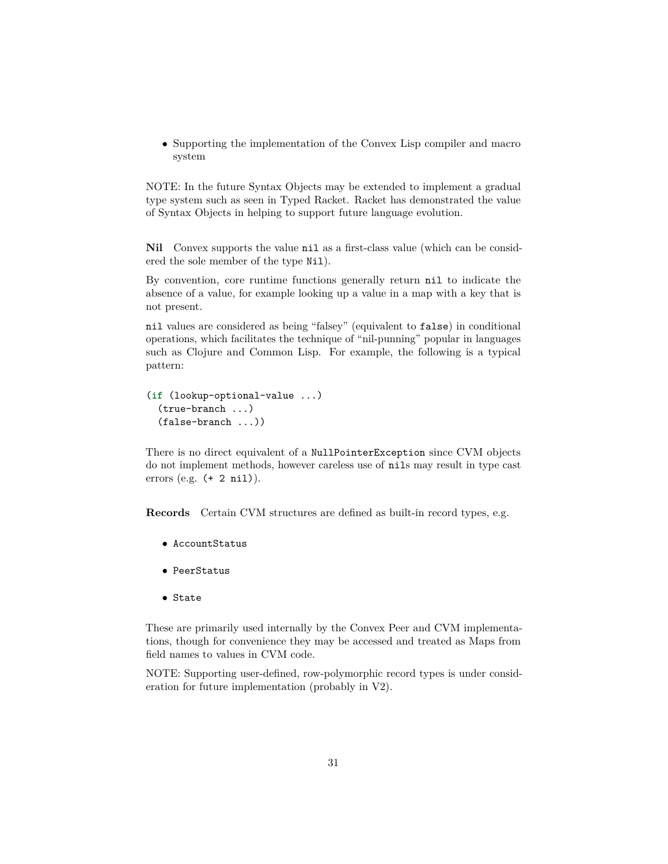• Supporting the implementation of the Convex Lisp compiler and macro system

NOTE: In the future Syntax Objects may be extended to implement a gradual type system such as seen in Typed Racket. Racket has demonstrated the value of Syntax Objects in helping to support future language evolution.

**Nil** Convex supports the value nil as a first-class value (which can be considered the sole member of the type Nil).

By convention, core runtime functions generally return nil to indicate the absence of a value, for example looking up a value in a map with a key that is not present.

nil values are considered as being "falsey" (equivalent to false) in conditional operations, which facilitates the technique of "nil-punning" popular in languages such as Clojure and Common Lisp. For example, the following is a typical pattern:

```
(if (lookup-optional-value ...)
  (true-branch ...)
  (false-branch ...))
```
There is no direct equivalent of a NullPointerException since CVM objects do not implement methods, however careless use of nils may result in type cast errors (e.g. (+ 2 nil)).

**Records** Certain CVM structures are defined as built-in record types, e.g.

- AccountStatus
- PeerStatus
- State

These are primarily used internally by the Convex Peer and CVM implementations, though for convenience they may be accessed and treated as Maps from field names to values in CVM code.

NOTE: Supporting user-defined, row-polymorphic record types is under consideration for future implementation (probably in V2).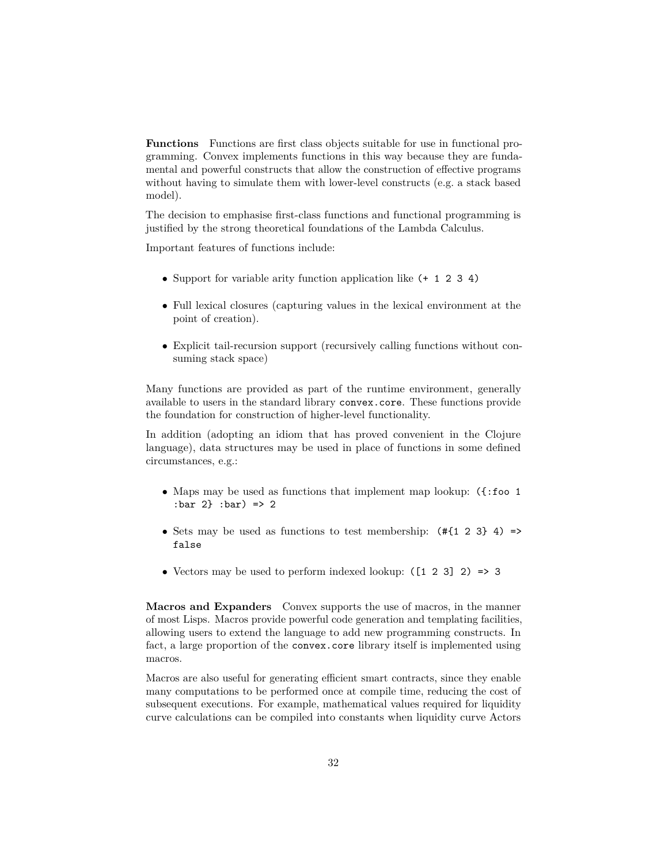**Functions** Functions are first class objects suitable for use in functional programming. Convex implements functions in this way because they are fundamental and powerful constructs that allow the construction of effective programs without having to simulate them with lower-level constructs (e.g. a stack based model).

The decision to emphasise first-class functions and functional programming is justified by the strong theoretical foundations of the Lambda Calculus.

Important features of functions include:

- Support for variable arity function application like (+ 1 2 3 4)
- Full lexical closures (capturing values in the lexical environment at the point of creation).
- Explicit tail-recursion support (recursively calling functions without consuming stack space)

Many functions are provided as part of the runtime environment, generally available to users in the standard library convex.core. These functions provide the foundation for construction of higher-level functionality.

In addition (adopting an idiom that has proved convenient in the Clojure language), data structures may be used in place of functions in some defined circumstances, e.g.:

- Maps may be used as functions that implement map lookup: ({:foo 1 :bar 2} :bar) => 2
- Sets may be used as functions to test membership:  $(\# \{1 \ 2 \ 3\} \ 4)$  => false
- Vectors may be used to perform indexed lookup: ([1 2 3] 2) => 3

**Macros and Expanders** Convex supports the use of macros, in the manner of most Lisps. Macros provide powerful code generation and templating facilities, allowing users to extend the language to add new programming constructs. In fact, a large proportion of the convex.core library itself is implemented using macros.

Macros are also useful for generating efficient smart contracts, since they enable many computations to be performed once at compile time, reducing the cost of subsequent executions. For example, mathematical values required for liquidity curve calculations can be compiled into constants when liquidity curve Actors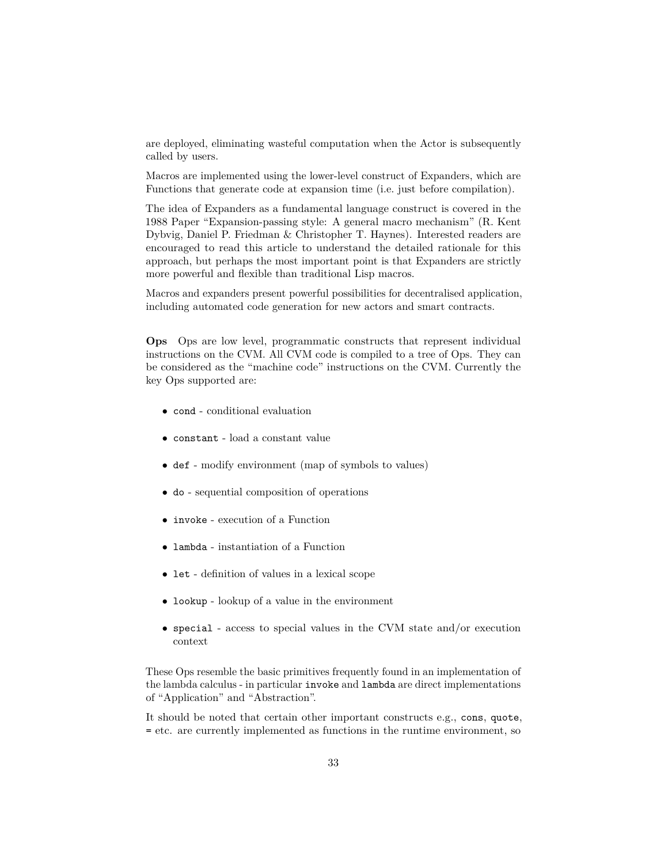are deployed, eliminating wasteful computation when the Actor is subsequently called by users.

Macros are implemented using the lower-level construct of Expanders, which are Functions that generate code at expansion time (i.e. just before compilation).

The idea of Expanders as a fundamental language construct is covered in the 1988 Paper "Expansion-passing style: A general macro mechanism" (R. Kent Dybvig, Daniel P. Friedman & Christopher T. Haynes). Interested readers are encouraged to read this article to understand the detailed rationale for this approach, but perhaps the most important point is that Expanders are strictly more powerful and flexible than traditional Lisp macros.

Macros and expanders present powerful possibilities for decentralised application, including automated code generation for new actors and smart contracts.

**Ops** Ops are low level, programmatic constructs that represent individual instructions on the CVM. All CVM code is compiled to a tree of Ops. They can be considered as the "machine code" instructions on the CVM. Currently the key Ops supported are:

- cond conditional evaluation
- constant load a constant value
- def modify environment (map of symbols to values)
- do sequential composition of operations
- invoke execution of a Function
- lambda instantiation of a Function
- let definition of values in a lexical scope
- lookup lookup of a value in the environment
- special access to special values in the CVM state and/or execution context

These Ops resemble the basic primitives frequently found in an implementation of the lambda calculus - in particular invoke and lambda are direct implementations of "Application" and "Abstraction".

It should be noted that certain other important constructs e.g., cons, quote, = etc. are currently implemented as functions in the runtime environment, so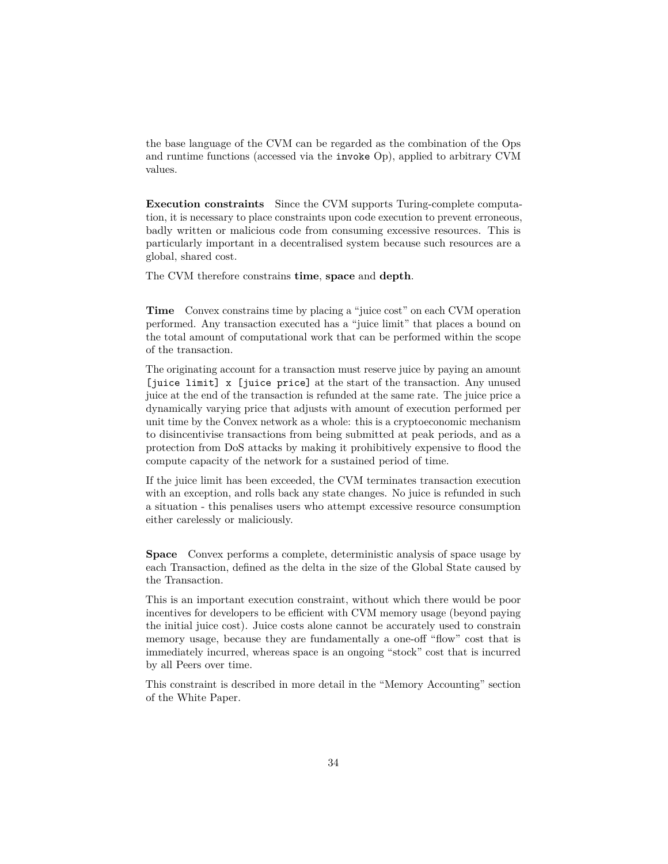the base language of the CVM can be regarded as the combination of the Ops and runtime functions (accessed via the invoke Op), applied to arbitrary CVM values.

**Execution constraints** Since the CVM supports Turing-complete computation, it is necessary to place constraints upon code execution to prevent erroneous, badly written or malicious code from consuming excessive resources. This is particularly important in a decentralised system because such resources are a global, shared cost.

The CVM therefore constrains **time**, **space** and **depth**.

**Time** Convex constrains time by placing a "juice cost" on each CVM operation performed. Any transaction executed has a "juice limit" that places a bound on the total amount of computational work that can be performed within the scope of the transaction.

The originating account for a transaction must reserve juice by paying an amount [juice limit] x [juice price] at the start of the transaction. Any unused juice at the end of the transaction is refunded at the same rate. The juice price a dynamically varying price that adjusts with amount of execution performed per unit time by the Convex network as a whole: this is a cryptoeconomic mechanism to disincentivise transactions from being submitted at peak periods, and as a protection from DoS attacks by making it prohibitively expensive to flood the compute capacity of the network for a sustained period of time.

If the juice limit has been exceeded, the CVM terminates transaction execution with an exception, and rolls back any state changes. No juice is refunded in such a situation - this penalises users who attempt excessive resource consumption either carelessly or maliciously.

**Space** Convex performs a complete, deterministic analysis of space usage by each Transaction, defined as the delta in the size of the Global State caused by the Transaction.

This is an important execution constraint, without which there would be poor incentives for developers to be efficient with CVM memory usage (beyond paying the initial juice cost). Juice costs alone cannot be accurately used to constrain memory usage, because they are fundamentally a one-off "flow" cost that is immediately incurred, whereas space is an ongoing "stock" cost that is incurred by all Peers over time.

This constraint is described in more detail in the "Memory Accounting" section of the White Paper.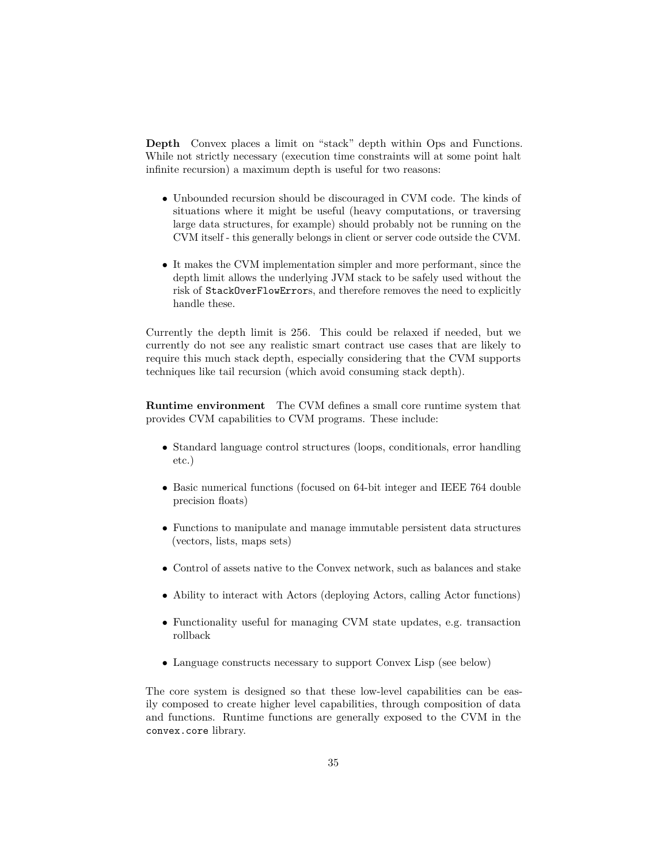**Depth** Convex places a limit on "stack" depth within Ops and Functions. While not strictly necessary (execution time constraints will at some point halt infinite recursion) a maximum depth is useful for two reasons:

- Unbounded recursion should be discouraged in CVM code. The kinds of situations where it might be useful (heavy computations, or traversing large data structures, for example) should probably not be running on the CVM itself - this generally belongs in client or server code outside the CVM.
- It makes the CVM implementation simpler and more performant, since the depth limit allows the underlying JVM stack to be safely used without the risk of StackOverFlowErrors, and therefore removes the need to explicitly handle these.

Currently the depth limit is 256. This could be relaxed if needed, but we currently do not see any realistic smart contract use cases that are likely to require this much stack depth, especially considering that the CVM supports techniques like tail recursion (which avoid consuming stack depth).

**Runtime environment** The CVM defines a small core runtime system that provides CVM capabilities to CVM programs. These include:

- Standard language control structures (loops, conditionals, error handling etc.)
- Basic numerical functions (focused on 64-bit integer and IEEE 764 double precision floats)
- Functions to manipulate and manage immutable persistent data structures (vectors, lists, maps sets)
- Control of assets native to the Convex network, such as balances and stake
- Ability to interact with Actors (deploying Actors, calling Actor functions)
- Functionality useful for managing CVM state updates, e.g. transaction rollback
- Language constructs necessary to support Convex Lisp (see below)

The core system is designed so that these low-level capabilities can be easily composed to create higher level capabilities, through composition of data and functions. Runtime functions are generally exposed to the CVM in the convex.core library.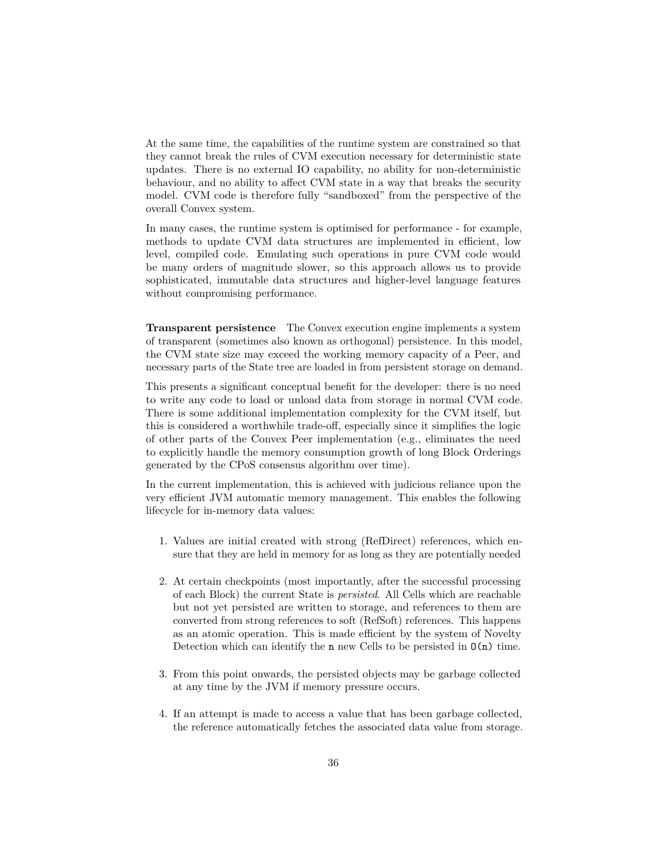At the same time, the capabilities of the runtime system are constrained so that they cannot break the rules of CVM execution necessary for deterministic state updates. There is no external IO capability, no ability for non-deterministic behaviour, and no ability to affect CVM state in a way that breaks the security model. CVM code is therefore fully "sandboxed" from the perspective of the overall Convex system.

In many cases, the runtime system is optimised for performance - for example, methods to update CVM data structures are implemented in efficient, low level, compiled code. Emulating such operations in pure CVM code would be many orders of magnitude slower, so this approach allows us to provide sophisticated, immutable data structures and higher-level language features without compromising performance.

**Transparent persistence** The Convex execution engine implements a system of transparent (sometimes also known as orthogonal) persistence. In this model, the CVM state size may exceed the working memory capacity of a Peer, and necessary parts of the State tree are loaded in from persistent storage on demand.

This presents a significant conceptual benefit for the developer: there is no need to write any code to load or unload data from storage in normal CVM code. There is some additional implementation complexity for the CVM itself, but this is considered a worthwhile trade-off, especially since it simplifies the logic of other parts of the Convex Peer implementation (e.g., eliminates the need to explicitly handle the memory consumption growth of long Block Orderings generated by the CPoS consensus algorithm over time).

In the current implementation, this is achieved with judicious reliance upon the very efficient JVM automatic memory management. This enables the following lifecycle for in-memory data values:

- 1. Values are initial created with strong (RefDirect) references, which ensure that they are held in memory for as long as they are potentially needed
- 2. At certain checkpoints (most importantly, after the successful processing of each Block) the current State is *persisted*. All Cells which are reachable but not yet persisted are written to storage, and references to them are converted from strong references to soft (RefSoft) references. This happens as an atomic operation. This is made efficient by the system of Novelty Detection which can identify the  $n$  new Cells to be persisted in  $O(n)$  time.
- 3. From this point onwards, the persisted objects may be garbage collected at any time by the JVM if memory pressure occurs.
- 4. If an attempt is made to access a value that has been garbage collected, the reference automatically fetches the associated data value from storage.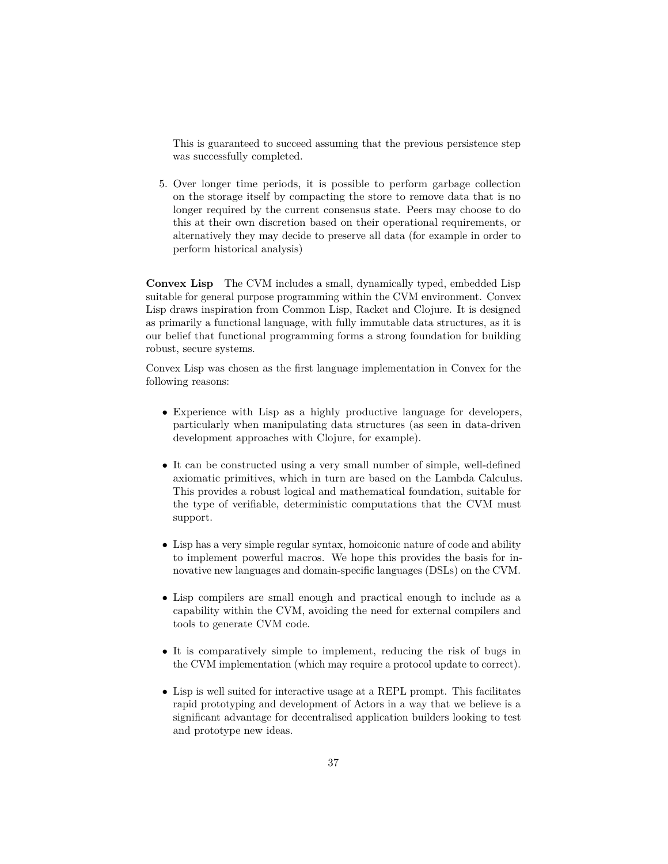This is guaranteed to succeed assuming that the previous persistence step was successfully completed.

5. Over longer time periods, it is possible to perform garbage collection on the storage itself by compacting the store to remove data that is no longer required by the current consensus state. Peers may choose to do this at their own discretion based on their operational requirements, or alternatively they may decide to preserve all data (for example in order to perform historical analysis)

**Convex Lisp** The CVM includes a small, dynamically typed, embedded Lisp suitable for general purpose programming within the CVM environment. Convex Lisp draws inspiration from Common Lisp, Racket and Clojure. It is designed as primarily a functional language, with fully immutable data structures, as it is our belief that functional programming forms a strong foundation for building robust, secure systems.

Convex Lisp was chosen as the first language implementation in Convex for the following reasons:

- Experience with Lisp as a highly productive language for developers, particularly when manipulating data structures (as seen in data-driven development approaches with Clojure, for example).
- It can be constructed using a very small number of simple, well-defined axiomatic primitives, which in turn are based on the Lambda Calculus. This provides a robust logical and mathematical foundation, suitable for the type of verifiable, deterministic computations that the CVM must support.
- Lisp has a very simple regular syntax, homoiconic nature of code and ability to implement powerful macros. We hope this provides the basis for innovative new languages and domain-specific languages (DSLs) on the CVM.
- Lisp compilers are small enough and practical enough to include as a capability within the CVM, avoiding the need for external compilers and tools to generate CVM code.
- It is comparatively simple to implement, reducing the risk of bugs in the CVM implementation (which may require a protocol update to correct).
- Lisp is well suited for interactive usage at a REPL prompt. This facilitates rapid prototyping and development of Actors in a way that we believe is a significant advantage for decentralised application builders looking to test and prototype new ideas.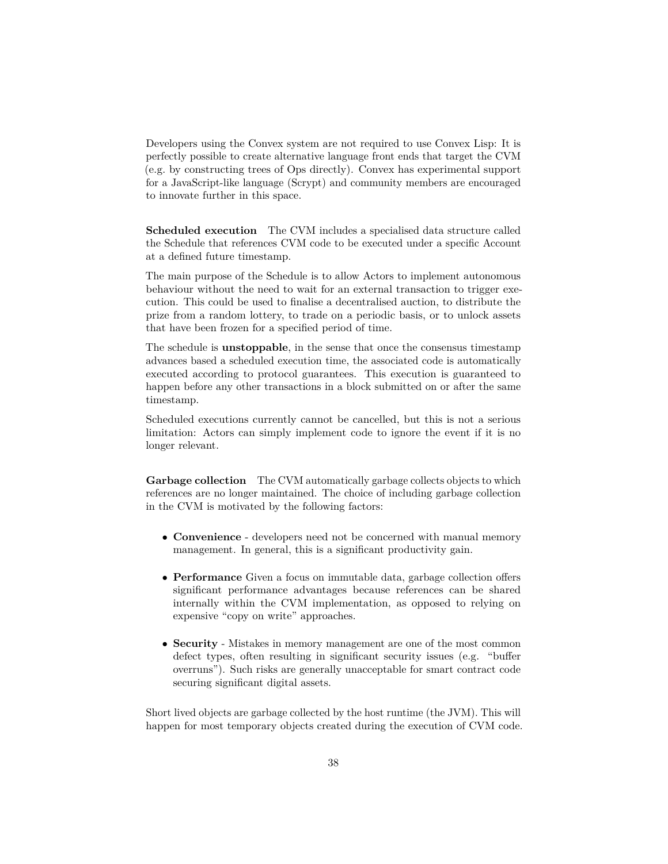Developers using the Convex system are not required to use Convex Lisp: It is perfectly possible to create alternative language front ends that target the CVM (e.g. by constructing trees of Ops directly). Convex has experimental support for a JavaScript-like language (Scrypt) and community members are encouraged to innovate further in this space.

**Scheduled execution** The CVM includes a specialised data structure called the Schedule that references CVM code to be executed under a specific Account at a defined future timestamp.

The main purpose of the Schedule is to allow Actors to implement autonomous behaviour without the need to wait for an external transaction to trigger execution. This could be used to finalise a decentralised auction, to distribute the prize from a random lottery, to trade on a periodic basis, or to unlock assets that have been frozen for a specified period of time.

The schedule is **unstoppable**, in the sense that once the consensus timestamp advances based a scheduled execution time, the associated code is automatically executed according to protocol guarantees. This execution is guaranteed to happen before any other transactions in a block submitted on or after the same timestamp.

Scheduled executions currently cannot be cancelled, but this is not a serious limitation: Actors can simply implement code to ignore the event if it is no longer relevant.

**Garbage collection** The CVM automatically garbage collects objects to which references are no longer maintained. The choice of including garbage collection in the CVM is motivated by the following factors:

- **Convenience** developers need not be concerned with manual memory management. In general, this is a significant productivity gain.
- **Performance** Given a focus on immutable data, garbage collection offers significant performance advantages because references can be shared internally within the CVM implementation, as opposed to relying on expensive "copy on write" approaches.
- **Security** Mistakes in memory management are one of the most common defect types, often resulting in significant security issues (e.g. "buffer overruns"). Such risks are generally unacceptable for smart contract code securing significant digital assets.

Short lived objects are garbage collected by the host runtime (the JVM). This will happen for most temporary objects created during the execution of CVM code.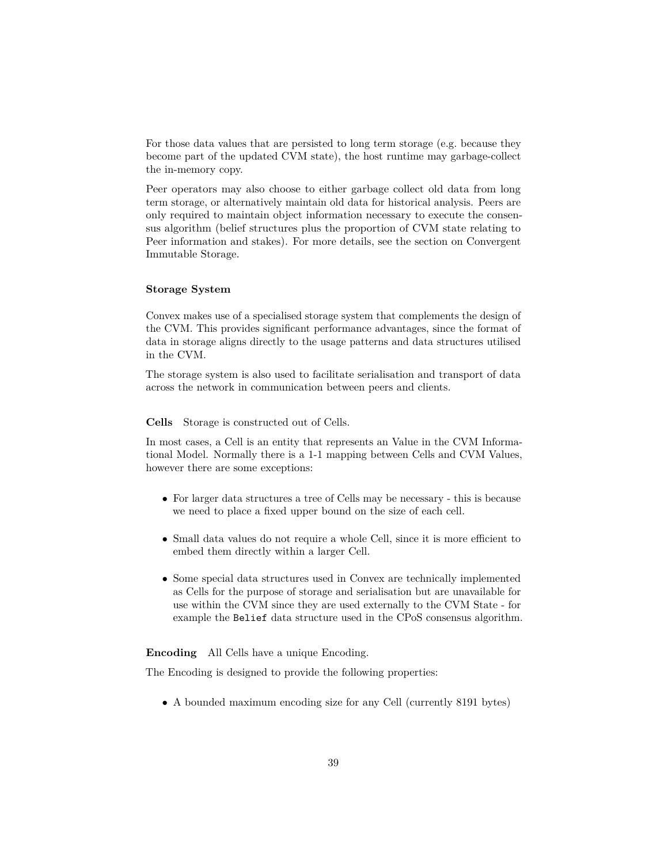For those data values that are persisted to long term storage (e.g. because they become part of the updated CVM state), the host runtime may garbage-collect the in-memory copy.

Peer operators may also choose to either garbage collect old data from long term storage, or alternatively maintain old data for historical analysis. Peers are only required to maintain object information necessary to execute the consensus algorithm (belief structures plus the proportion of CVM state relating to Peer information and stakes). For more details, see the section on Convergent Immutable Storage.

### **Storage System**

Convex makes use of a specialised storage system that complements the design of the CVM. This provides significant performance advantages, since the format of data in storage aligns directly to the usage patterns and data structures utilised in the CVM.

The storage system is also used to facilitate serialisation and transport of data across the network in communication between peers and clients.

**Cells** Storage is constructed out of Cells.

In most cases, a Cell is an entity that represents an Value in the CVM Informational Model. Normally there is a 1-1 mapping between Cells and CVM Values, however there are some exceptions:

- For larger data structures a tree of Cells may be necessary this is because we need to place a fixed upper bound on the size of each cell.
- Small data values do not require a whole Cell, since it is more efficient to embed them directly within a larger Cell.
- Some special data structures used in Convex are technically implemented as Cells for the purpose of storage and serialisation but are unavailable for use within the CVM since they are used externally to the CVM State - for example the Belief data structure used in the CPoS consensus algorithm.

**Encoding** All Cells have a unique Encoding.

The Encoding is designed to provide the following properties:

• A bounded maximum encoding size for any Cell (currently 8191 bytes)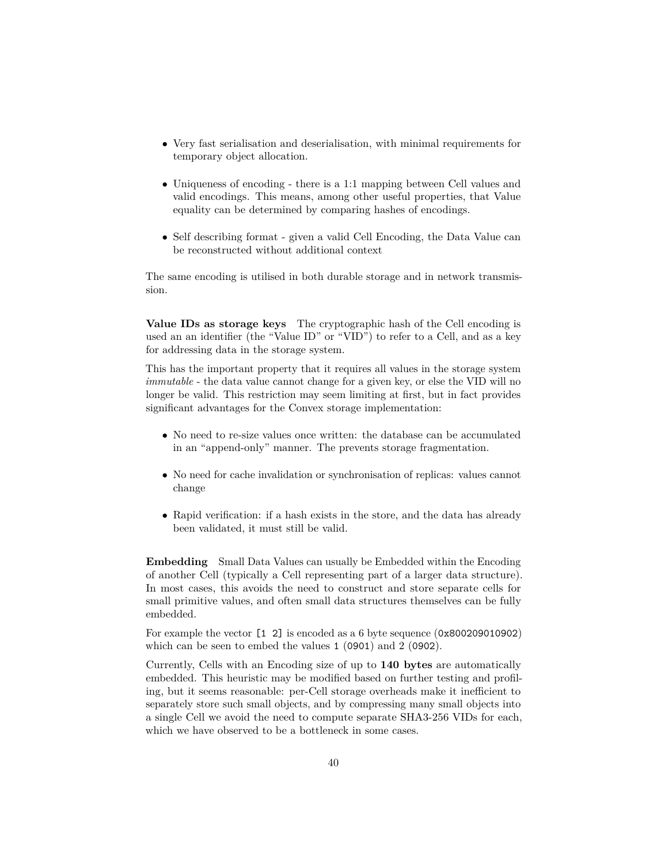- Very fast serialisation and deserialisation, with minimal requirements for temporary object allocation.
- Uniqueness of encoding there is a 1:1 mapping between Cell values and valid encodings. This means, among other useful properties, that Value equality can be determined by comparing hashes of encodings.
- Self describing format given a valid Cell Encoding, the Data Value can be reconstructed without additional context

The same encoding is utilised in both durable storage and in network transmission.

**Value IDs as storage keys** The cryptographic hash of the Cell encoding is used an an identifier (the "Value ID" or "VID") to refer to a Cell, and as a key for addressing data in the storage system.

This has the important property that it requires all values in the storage system *immutable* - the data value cannot change for a given key, or else the VID will no longer be valid. This restriction may seem limiting at first, but in fact provides significant advantages for the Convex storage implementation:

- No need to re-size values once written: the database can be accumulated in an "append-only" manner. The prevents storage fragmentation.
- No need for cache invalidation or synchronisation of replicas: values cannot change
- Rapid verification: if a hash exists in the store, and the data has already been validated, it must still be valid.

**Embedding** Small Data Values can usually be Embedded within the Encoding of another Cell (typically a Cell representing part of a larger data structure). In most cases, this avoids the need to construct and store separate cells for small primitive values, and often small data structures themselves can be fully embedded.

For example the vector [1 2] is encoded as a 6 byte sequence (0x800209010902) which can be seen to embed the values 1 (0901) and 2 (0902).

Currently, Cells with an Encoding size of up to **140 bytes** are automatically embedded. This heuristic may be modified based on further testing and profiling, but it seems reasonable: per-Cell storage overheads make it inefficient to separately store such small objects, and by compressing many small objects into a single Cell we avoid the need to compute separate SHA3-256 VIDs for each, which we have observed to be a bottleneck in some cases.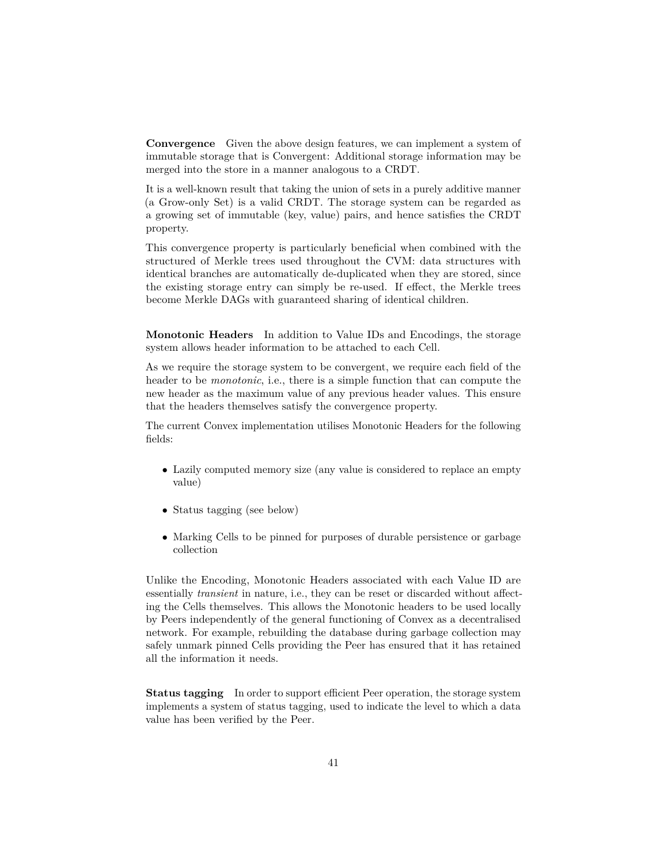**Convergence** Given the above design features, we can implement a system of immutable storage that is Convergent: Additional storage information may be merged into the store in a manner analogous to a CRDT.

It is a well-known result that taking the union of sets in a purely additive manner (a Grow-only Set) is a valid CRDT. The storage system can be regarded as a growing set of immutable (key, value) pairs, and hence satisfies the CRDT property.

This convergence property is particularly beneficial when combined with the structured of Merkle trees used throughout the CVM: data structures with identical branches are automatically de-duplicated when they are stored, since the existing storage entry can simply be re-used. If effect, the Merkle trees become Merkle DAGs with guaranteed sharing of identical children.

**Monotonic Headers** In addition to Value IDs and Encodings, the storage system allows header information to be attached to each Cell.

As we require the storage system to be convergent, we require each field of the header to be *monotonic*, i.e., there is a simple function that can compute the new header as the maximum value of any previous header values. This ensure that the headers themselves satisfy the convergence property.

The current Convex implementation utilises Monotonic Headers for the following fields:

- Lazily computed memory size (any value is considered to replace an empty value)
- Status tagging (see below)
- Marking Cells to be pinned for purposes of durable persistence or garbage collection

Unlike the Encoding, Monotonic Headers associated with each Value ID are essentially *transient* in nature, i.e., they can be reset or discarded without affecting the Cells themselves. This allows the Monotonic headers to be used locally by Peers independently of the general functioning of Convex as a decentralised network. For example, rebuilding the database during garbage collection may safely unmark pinned Cells providing the Peer has ensured that it has retained all the information it needs.

**Status tagging** In order to support efficient Peer operation, the storage system implements a system of status tagging, used to indicate the level to which a data value has been verified by the Peer.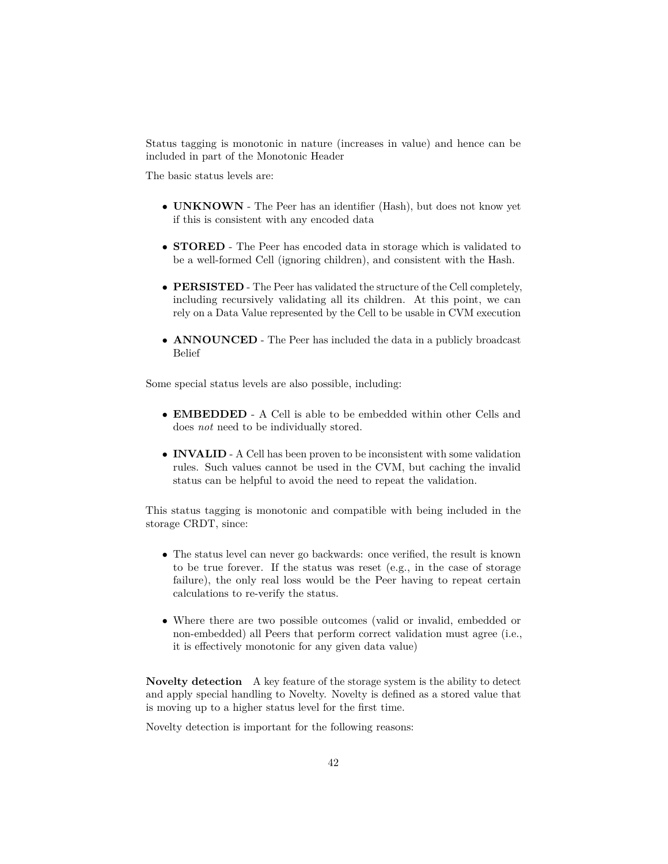Status tagging is monotonic in nature (increases in value) and hence can be included in part of the Monotonic Header

The basic status levels are:

- **UNKNOWN** The Peer has an identifier (Hash), but does not know yet if this is consistent with any encoded data
- **STORED** The Peer has encoded data in storage which is validated to be a well-formed Cell (ignoring children), and consistent with the Hash.
- **PERSISTED** The Peer has validated the structure of the Cell completely, including recursively validating all its children. At this point, we can rely on a Data Value represented by the Cell to be usable in CVM execution
- **ANNOUNCED** The Peer has included the data in a publicly broadcast Belief

Some special status levels are also possible, including:

- **EMBEDDED** A Cell is able to be embedded within other Cells and does *not* need to be individually stored.
- **INVALID** A Cell has been proven to be inconsistent with some validation rules. Such values cannot be used in the CVM, but caching the invalid status can be helpful to avoid the need to repeat the validation.

This status tagging is monotonic and compatible with being included in the storage CRDT, since:

- The status level can never go backwards: once verified, the result is known to be true forever. If the status was reset (e.g., in the case of storage failure), the only real loss would be the Peer having to repeat certain calculations to re-verify the status.
- Where there are two possible outcomes (valid or invalid, embedded or non-embedded) all Peers that perform correct validation must agree (i.e., it is effectively monotonic for any given data value)

**Novelty detection** A key feature of the storage system is the ability to detect and apply special handling to Novelty. Novelty is defined as a stored value that is moving up to a higher status level for the first time.

Novelty detection is important for the following reasons: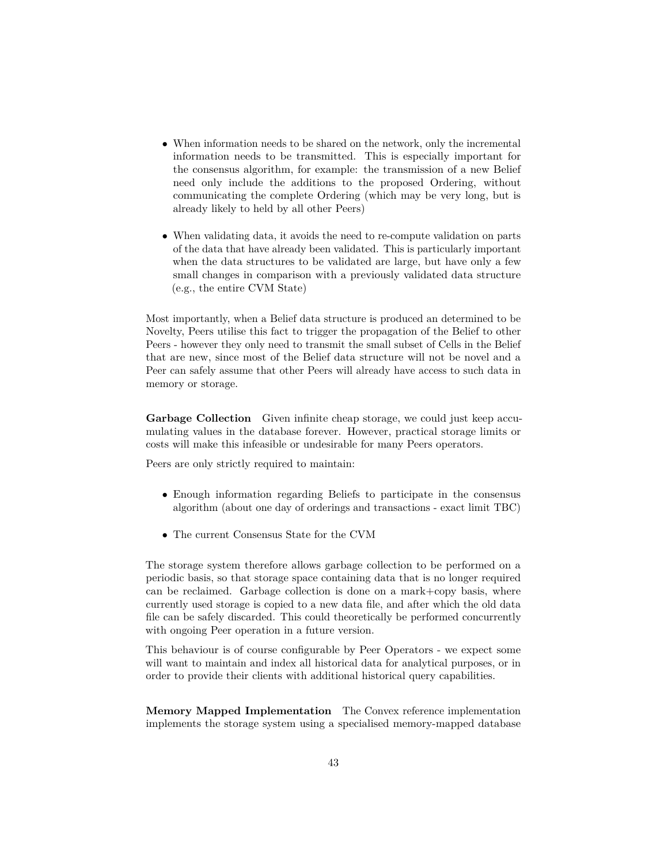- When information needs to be shared on the network, only the incremental information needs to be transmitted. This is especially important for the consensus algorithm, for example: the transmission of a new Belief need only include the additions to the proposed Ordering, without communicating the complete Ordering (which may be very long, but is already likely to held by all other Peers)
- When validating data, it avoids the need to re-compute validation on parts of the data that have already been validated. This is particularly important when the data structures to be validated are large, but have only a few small changes in comparison with a previously validated data structure (e.g., the entire CVM State)

Most importantly, when a Belief data structure is produced an determined to be Novelty, Peers utilise this fact to trigger the propagation of the Belief to other Peers - however they only need to transmit the small subset of Cells in the Belief that are new, since most of the Belief data structure will not be novel and a Peer can safely assume that other Peers will already have access to such data in memory or storage.

**Garbage Collection** Given infinite cheap storage, we could just keep accumulating values in the database forever. However, practical storage limits or costs will make this infeasible or undesirable for many Peers operators.

Peers are only strictly required to maintain:

- Enough information regarding Beliefs to participate in the consensus algorithm (about one day of orderings and transactions - exact limit TBC)
- The current Consensus State for the CVM

The storage system therefore allows garbage collection to be performed on a periodic basis, so that storage space containing data that is no longer required can be reclaimed. Garbage collection is done on a mark+copy basis, where currently used storage is copied to a new data file, and after which the old data file can be safely discarded. This could theoretically be performed concurrently with ongoing Peer operation in a future version.

This behaviour is of course configurable by Peer Operators - we expect some will want to maintain and index all historical data for analytical purposes, or in order to provide their clients with additional historical query capabilities.

**Memory Mapped Implementation** The Convex reference implementation implements the storage system using a specialised memory-mapped database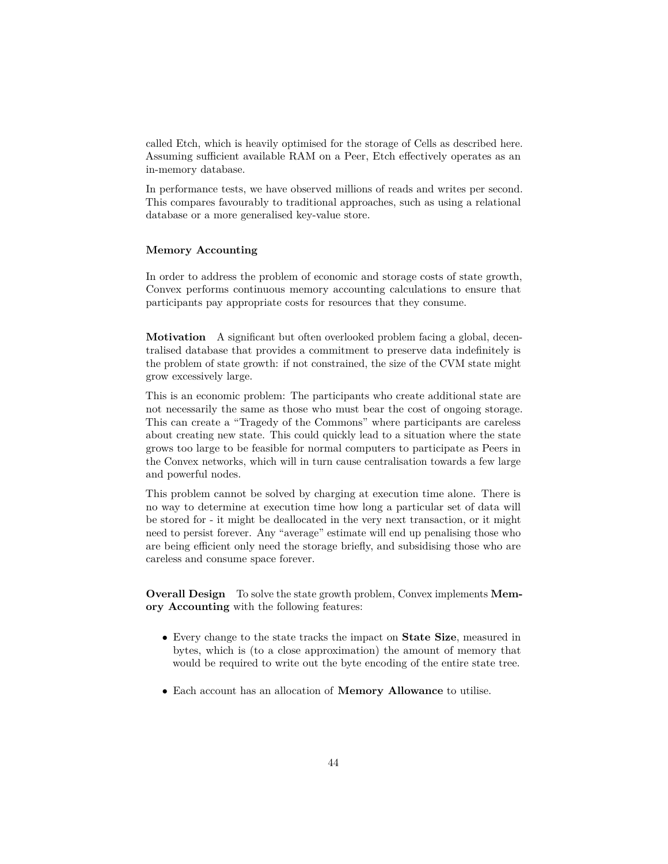called Etch, which is heavily optimised for the storage of Cells as described here. Assuming sufficient available RAM on a Peer, Etch effectively operates as an in-memory database.

In performance tests, we have observed millions of reads and writes per second. This compares favourably to traditional approaches, such as using a relational database or a more generalised key-value store.

### **Memory Accounting**

In order to address the problem of economic and storage costs of state growth, Convex performs continuous memory accounting calculations to ensure that participants pay appropriate costs for resources that they consume.

**Motivation** A significant but often overlooked problem facing a global, decentralised database that provides a commitment to preserve data indefinitely is the problem of state growth: if not constrained, the size of the CVM state might grow excessively large.

This is an economic problem: The participants who create additional state are not necessarily the same as those who must bear the cost of ongoing storage. This can create a "Tragedy of the Commons" where participants are careless about creating new state. This could quickly lead to a situation where the state grows too large to be feasible for normal computers to participate as Peers in the Convex networks, which will in turn cause centralisation towards a few large and powerful nodes.

This problem cannot be solved by charging at execution time alone. There is no way to determine at execution time how long a particular set of data will be stored for - it might be deallocated in the very next transaction, or it might need to persist forever. Any "average" estimate will end up penalising those who are being efficient only need the storage briefly, and subsidising those who are careless and consume space forever.

**Overall Design** To solve the state growth problem, Convex implements **Memory Accounting** with the following features:

- Every change to the state tracks the impact on **State Size**, measured in bytes, which is (to a close approximation) the amount of memory that would be required to write out the byte encoding of the entire state tree.
- Each account has an allocation of **Memory Allowance** to utilise.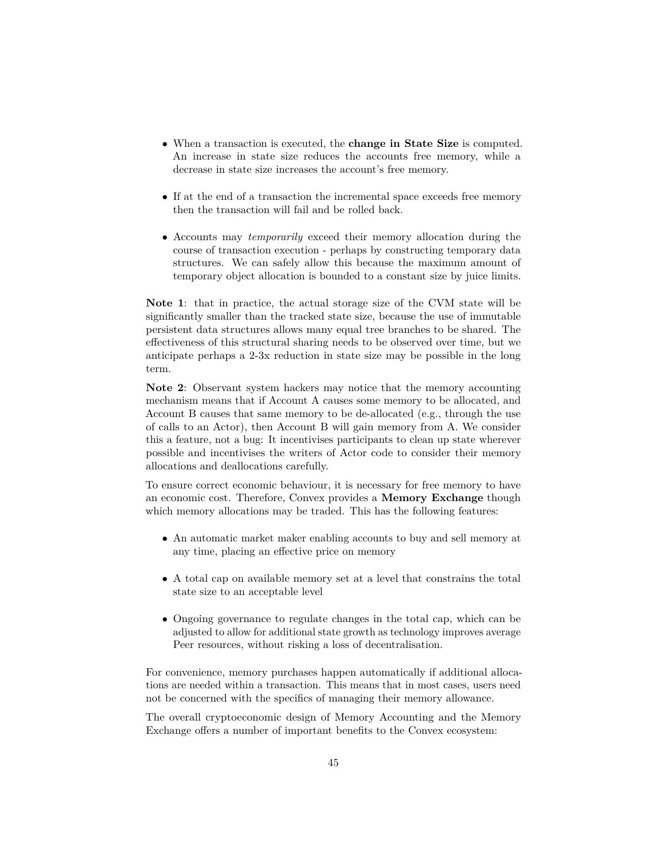- When a transaction is executed, the **change in State Size** is computed. An increase in state size reduces the accounts free memory, while a decrease in state size increases the account's free memory.
- If at the end of a transaction the incremental space exceeds free memory then the transaction will fail and be rolled back.
- Accounts may *temporarily* exceed their memory allocation during the course of transaction execution - perhaps by constructing temporary data structures. We can safely allow this because the maximum amount of temporary object allocation is bounded to a constant size by juice limits.

**Note 1**: that in practice, the actual storage size of the CVM state will be significantly smaller than the tracked state size, because the use of immutable persistent data structures allows many equal tree branches to be shared. The effectiveness of this structural sharing needs to be observed over time, but we anticipate perhaps a 2-3x reduction in state size may be possible in the long term.

**Note 2**: Observant system hackers may notice that the memory accounting mechanism means that if Account A causes some memory to be allocated, and Account B causes that same memory to be de-allocated (e.g., through the use of calls to an Actor), then Account B will gain memory from A. We consider this a feature, not a bug: It incentivises participants to clean up state wherever possible and incentivises the writers of Actor code to consider their memory allocations and deallocations carefully.

To ensure correct economic behaviour, it is necessary for free memory to have an economic cost. Therefore, Convex provides a **Memory Exchange** though which memory allocations may be traded. This has the following features:

- An automatic market maker enabling accounts to buy and sell memory at any time, placing an effective price on memory
- A total cap on available memory set at a level that constrains the total state size to an acceptable level
- Ongoing governance to regulate changes in the total cap, which can be adjusted to allow for additional state growth as technology improves average Peer resources, without risking a loss of decentralisation.

For convenience, memory purchases happen automatically if additional allocations are needed within a transaction. This means that in most cases, users need not be concerned with the specifics of managing their memory allowance.

The overall cryptoeconomic design of Memory Accounting and the Memory Exchange offers a number of important benefits to the Convex ecosystem: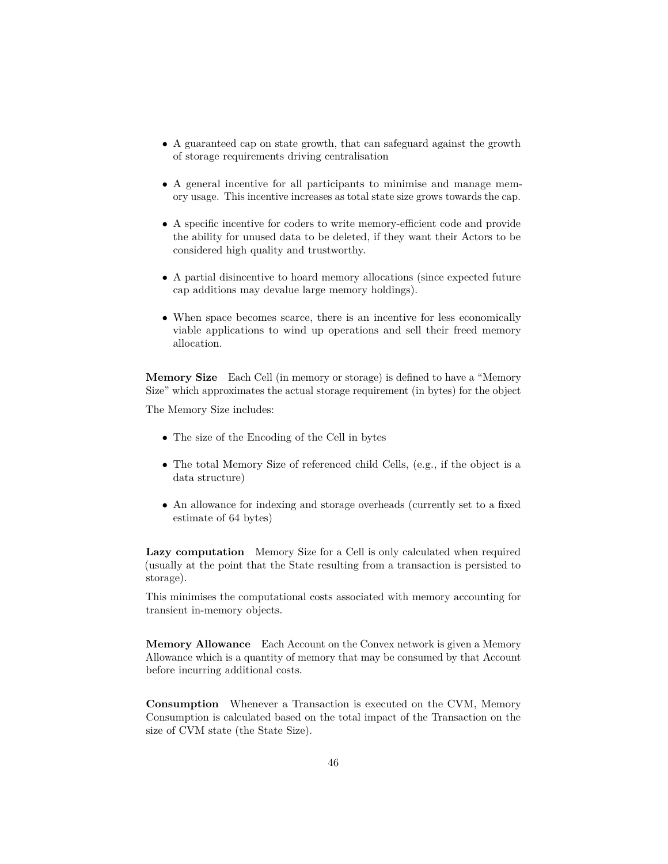- A guaranteed cap on state growth, that can safeguard against the growth of storage requirements driving centralisation
- A general incentive for all participants to minimise and manage memory usage. This incentive increases as total state size grows towards the cap.
- A specific incentive for coders to write memory-efficient code and provide the ability for unused data to be deleted, if they want their Actors to be considered high quality and trustworthy.
- A partial disincentive to hoard memory allocations (since expected future cap additions may devalue large memory holdings).
- When space becomes scarce, there is an incentive for less economically viable applications to wind up operations and sell their freed memory allocation.

**Memory Size** Each Cell (in memory or storage) is defined to have a "Memory Size" which approximates the actual storage requirement (in bytes) for the object

The Memory Size includes:

- The size of the Encoding of the Cell in bytes
- The total Memory Size of referenced child Cells, (e.g., if the object is a data structure)
- An allowance for indexing and storage overheads (currently set to a fixed estimate of 64 bytes)

**Lazy computation** Memory Size for a Cell is only calculated when required (usually at the point that the State resulting from a transaction is persisted to storage).

This minimises the computational costs associated with memory accounting for transient in-memory objects.

**Memory Allowance** Each Account on the Convex network is given a Memory Allowance which is a quantity of memory that may be consumed by that Account before incurring additional costs.

**Consumption** Whenever a Transaction is executed on the CVM, Memory Consumption is calculated based on the total impact of the Transaction on the size of CVM state (the State Size).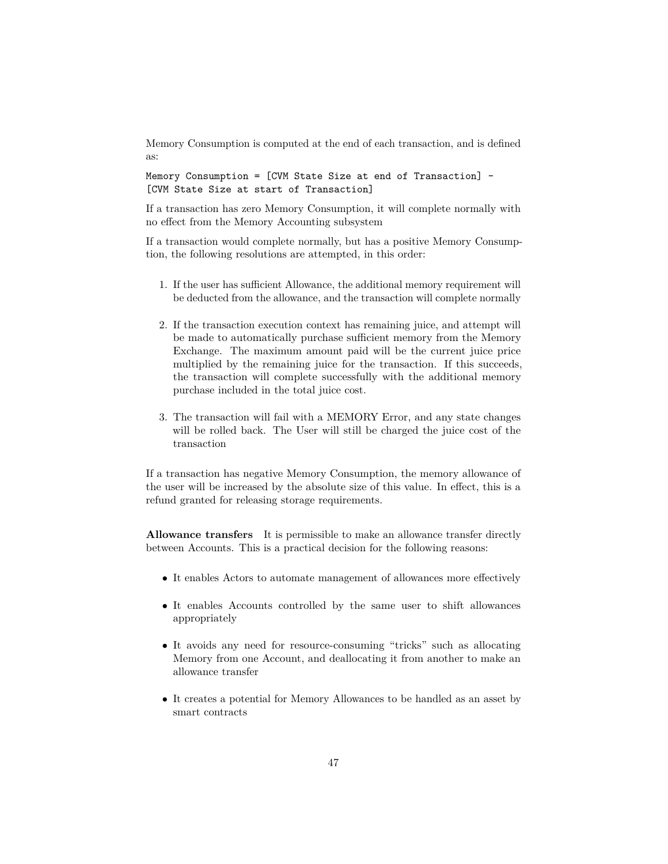Memory Consumption is computed at the end of each transaction, and is defined as:

Memory Consumption = [CVM State Size at end of Transaction] - [CVM State Size at start of Transaction]

If a transaction has zero Memory Consumption, it will complete normally with no effect from the Memory Accounting subsystem

If a transaction would complete normally, but has a positive Memory Consumption, the following resolutions are attempted, in this order:

- 1. If the user has sufficient Allowance, the additional memory requirement will be deducted from the allowance, and the transaction will complete normally
- 2. If the transaction execution context has remaining juice, and attempt will be made to automatically purchase sufficient memory from the Memory Exchange. The maximum amount paid will be the current juice price multiplied by the remaining juice for the transaction. If this succeeds, the transaction will complete successfully with the additional memory purchase included in the total juice cost.
- 3. The transaction will fail with a MEMORY Error, and any state changes will be rolled back. The User will still be charged the juice cost of the transaction

If a transaction has negative Memory Consumption, the memory allowance of the user will be increased by the absolute size of this value. In effect, this is a refund granted for releasing storage requirements.

**Allowance transfers** It is permissible to make an allowance transfer directly between Accounts. This is a practical decision for the following reasons:

- It enables Actors to automate management of allowances more effectively
- It enables Accounts controlled by the same user to shift allowances appropriately
- It avoids any need for resource-consuming "tricks" such as allocating Memory from one Account, and deallocating it from another to make an allowance transfer
- It creates a potential for Memory Allowances to be handled as an asset by smart contracts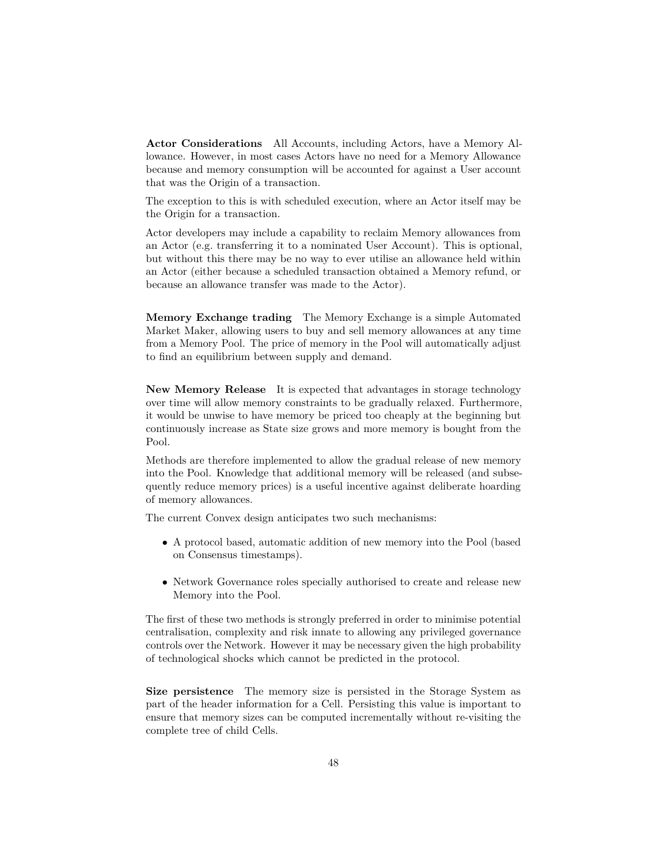**Actor Considerations** All Accounts, including Actors, have a Memory Allowance. However, in most cases Actors have no need for a Memory Allowance because and memory consumption will be accounted for against a User account that was the Origin of a transaction.

The exception to this is with scheduled execution, where an Actor itself may be the Origin for a transaction.

Actor developers may include a capability to reclaim Memory allowances from an Actor (e.g. transferring it to a nominated User Account). This is optional, but without this there may be no way to ever utilise an allowance held within an Actor (either because a scheduled transaction obtained a Memory refund, or because an allowance transfer was made to the Actor).

**Memory Exchange trading** The Memory Exchange is a simple Automated Market Maker, allowing users to buy and sell memory allowances at any time from a Memory Pool. The price of memory in the Pool will automatically adjust to find an equilibrium between supply and demand.

**New Memory Release** It is expected that advantages in storage technology over time will allow memory constraints to be gradually relaxed. Furthermore, it would be unwise to have memory be priced too cheaply at the beginning but continuously increase as State size grows and more memory is bought from the Pool.

Methods are therefore implemented to allow the gradual release of new memory into the Pool. Knowledge that additional memory will be released (and subsequently reduce memory prices) is a useful incentive against deliberate hoarding of memory allowances.

The current Convex design anticipates two such mechanisms:

- A protocol based, automatic addition of new memory into the Pool (based on Consensus timestamps).
- Network Governance roles specially authorised to create and release new Memory into the Pool.

The first of these two methods is strongly preferred in order to minimise potential centralisation, complexity and risk innate to allowing any privileged governance controls over the Network. However it may be necessary given the high probability of technological shocks which cannot be predicted in the protocol.

**Size persistence** The memory size is persisted in the Storage System as part of the header information for a Cell. Persisting this value is important to ensure that memory sizes can be computed incrementally without re-visiting the complete tree of child Cells.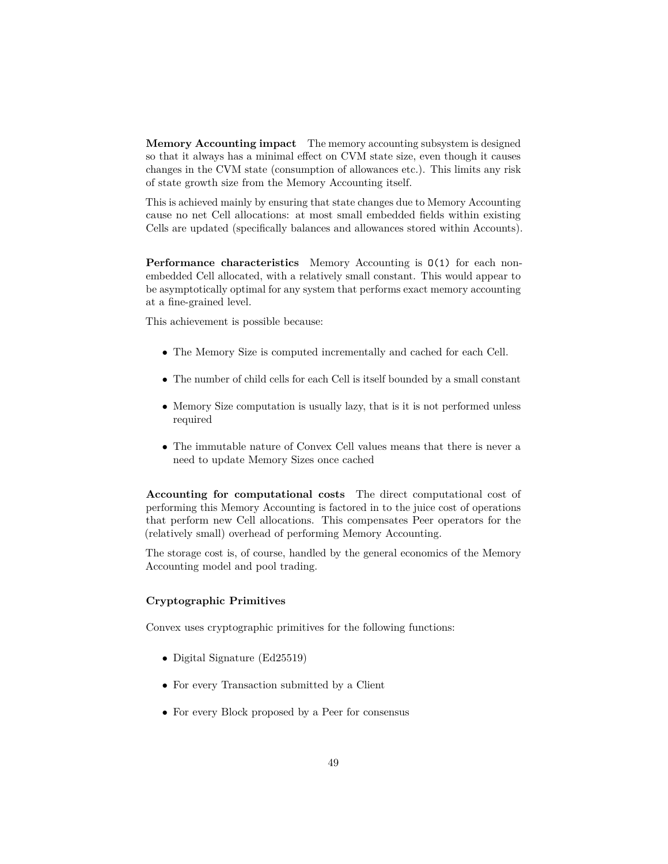**Memory Accounting impact** The memory accounting subsystem is designed so that it always has a minimal effect on CVM state size, even though it causes changes in the CVM state (consumption of allowances etc.). This limits any risk of state growth size from the Memory Accounting itself.

This is achieved mainly by ensuring that state changes due to Memory Accounting cause no net Cell allocations: at most small embedded fields within existing Cells are updated (specifically balances and allowances stored within Accounts).

**Performance characteristics** Memory Accounting is  $O(1)$  for each nonembedded Cell allocated, with a relatively small constant. This would appear to be asymptotically optimal for any system that performs exact memory accounting at a fine-grained level.

This achievement is possible because:

- The Memory Size is computed incrementally and cached for each Cell.
- The number of child cells for each Cell is itself bounded by a small constant
- Memory Size computation is usually lazy, that is it is not performed unless required
- The immutable nature of Convex Cell values means that there is never a need to update Memory Sizes once cached

**Accounting for computational costs** The direct computational cost of performing this Memory Accounting is factored in to the juice cost of operations that perform new Cell allocations. This compensates Peer operators for the (relatively small) overhead of performing Memory Accounting.

The storage cost is, of course, handled by the general economics of the Memory Accounting model and pool trading.

### **Cryptographic Primitives**

Convex uses cryptographic primitives for the following functions:

- Digital Signature (Ed25519)
- For every Transaction submitted by a Client
- For every Block proposed by a Peer for consensus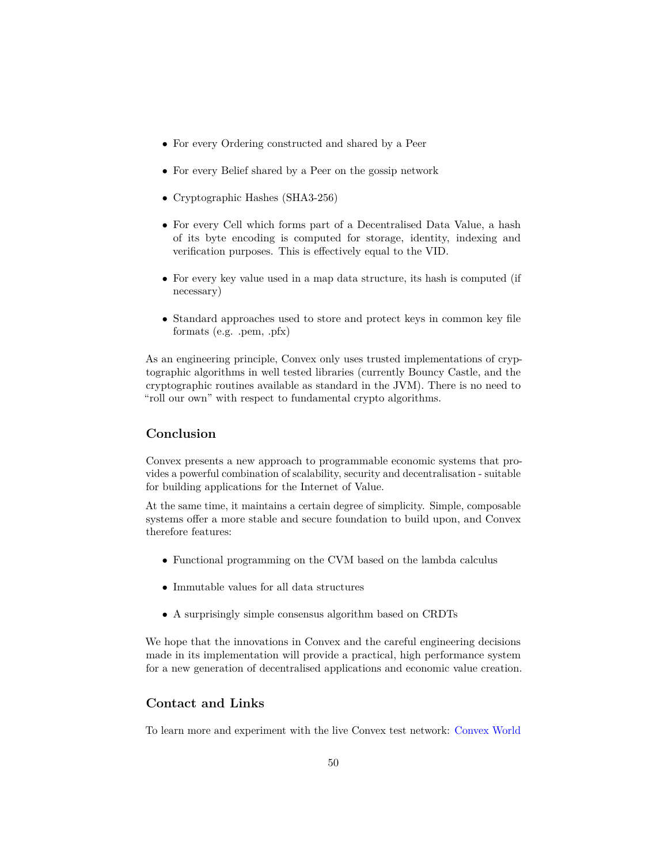- For every Ordering constructed and shared by a Peer
- For every Belief shared by a Peer on the gossip network
- Cryptographic Hashes (SHA3-256)
- For every Cell which forms part of a Decentralised Data Value, a hash of its byte encoding is computed for storage, identity, indexing and verification purposes. This is effectively equal to the VID.
- For every key value used in a map data structure, its hash is computed (if necessary)
- Standard approaches used to store and protect keys in common key file formats (e.g. .pem, .pfx)

As an engineering principle, Convex only uses trusted implementations of cryptographic algorithms in well tested libraries (currently Bouncy Castle, and the cryptographic routines available as standard in the JVM). There is no need to "roll our own" with respect to fundamental crypto algorithms.

# **Conclusion**

Convex presents a new approach to programmable economic systems that provides a powerful combination of scalability, security and decentralisation - suitable for building applications for the Internet of Value.

At the same time, it maintains a certain degree of simplicity. Simple, composable systems offer a more stable and secure foundation to build upon, and Convex therefore features:

- Functional programming on the CVM based on the lambda calculus
- Immutable values for all data structures
- A surprisingly simple consensus algorithm based on CRDTs

We hope that the innovations in Convex and the careful engineering decisions made in its implementation will provide a practical, high performance system for a new generation of decentralised applications and economic value creation.

# **Contact and Links**

To learn more and experiment with the live Convex test network: [Convex World](https://convex.world)